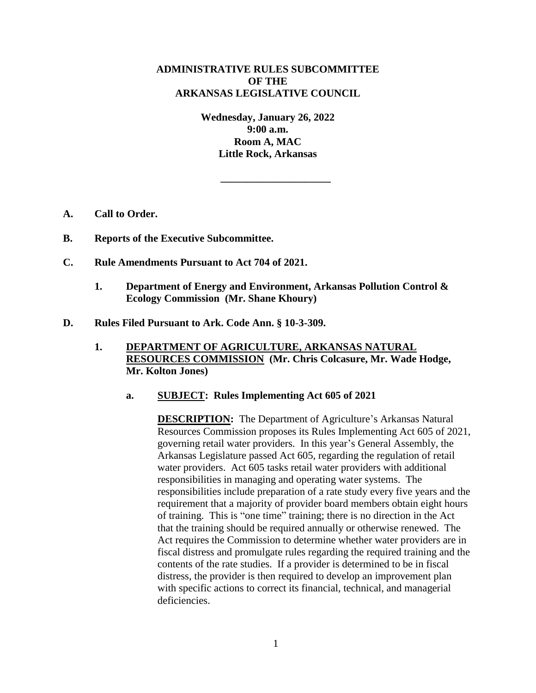## **ADMINISTRATIVE RULES SUBCOMMITTEE OF THE ARKANSAS LEGISLATIVE COUNCIL**

**Wednesday, January 26, 2022 9:00 a.m. Room A, MAC Little Rock, Arkansas**

**\_\_\_\_\_\_\_\_\_\_\_\_\_\_\_\_\_\_\_\_\_**

- **A. Call to Order.**
- **B. Reports of the Executive Subcommittee.**
- **C. Rule Amendments Pursuant to Act 704 of 2021.**
	- **1. Department of Energy and Environment, Arkansas Pollution Control & Ecology Commission (Mr. Shane Khoury)**
- **D. Rules Filed Pursuant to Ark. Code Ann. § 10-3-309.**
	- **1. DEPARTMENT OF AGRICULTURE, ARKANSAS NATURAL RESOURCES COMMISSION (Mr. Chris Colcasure, Mr. Wade Hodge, Mr. Kolton Jones)**
		- **a. SUBJECT: Rules Implementing Act 605 of 2021**

**DESCRIPTION:** The Department of Agriculture's Arkansas Natural Resources Commission proposes its Rules Implementing Act 605 of 2021, governing retail water providers. In this year's General Assembly, the Arkansas Legislature passed Act 605, regarding the regulation of retail water providers. Act 605 tasks retail water providers with additional responsibilities in managing and operating water systems. The responsibilities include preparation of a rate study every five years and the requirement that a majority of provider board members obtain eight hours of training. This is "one time" training; there is no direction in the Act that the training should be required annually or otherwise renewed. The Act requires the Commission to determine whether water providers are in fiscal distress and promulgate rules regarding the required training and the contents of the rate studies. If a provider is determined to be in fiscal distress, the provider is then required to develop an improvement plan with specific actions to correct its financial, technical, and managerial deficiencies.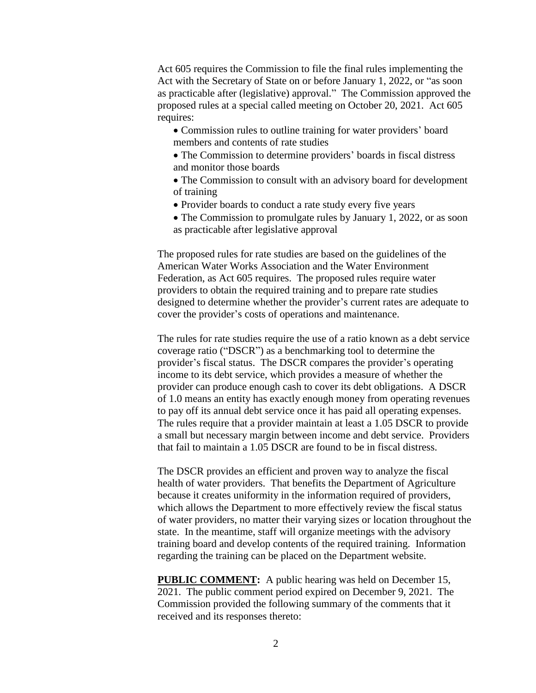Act 605 requires the Commission to file the final rules implementing the Act with the Secretary of State on or before January 1, 2022, or "as soon as practicable after (legislative) approval." The Commission approved the proposed rules at a special called meeting on October 20, 2021. Act 605 requires:

- Commission rules to outline training for water providers' board members and contents of rate studies
- The Commission to determine providers' boards in fiscal distress and monitor those boards
- The Commission to consult with an advisory board for development of training
- Provider boards to conduct a rate study every five years
- The Commission to promulgate rules by January 1, 2022, or as soon as practicable after legislative approval

The proposed rules for rate studies are based on the guidelines of the American Water Works Association and the Water Environment Federation, as Act 605 requires. The proposed rules require water providers to obtain the required training and to prepare rate studies designed to determine whether the provider's current rates are adequate to cover the provider's costs of operations and maintenance.

The rules for rate studies require the use of a ratio known as a debt service coverage ratio ("DSCR") as a benchmarking tool to determine the provider's fiscal status. The DSCR compares the provider's operating income to its debt service, which provides a measure of whether the provider can produce enough cash to cover its debt obligations. A DSCR of 1.0 means an entity has exactly enough money from operating revenues to pay off its annual debt service once it has paid all operating expenses. The rules require that a provider maintain at least a 1.05 DSCR to provide a small but necessary margin between income and debt service. Providers that fail to maintain a 1.05 DSCR are found to be in fiscal distress.

The DSCR provides an efficient and proven way to analyze the fiscal health of water providers. That benefits the Department of Agriculture because it creates uniformity in the information required of providers, which allows the Department to more effectively review the fiscal status of water providers, no matter their varying sizes or location throughout the state. In the meantime, staff will organize meetings with the advisory training board and develop contents of the required training. Information regarding the training can be placed on the Department website.

**PUBLIC COMMENT:** A public hearing was held on December 15, 2021. The public comment period expired on December 9, 2021. The Commission provided the following summary of the comments that it received and its responses thereto: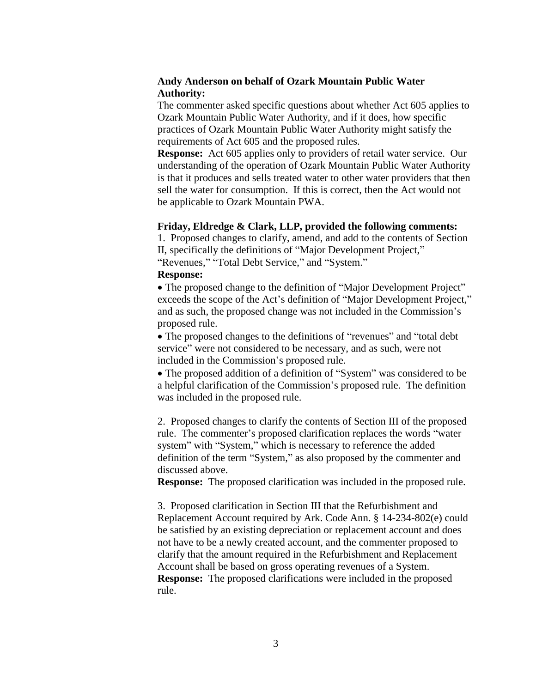## **Andy Anderson on behalf of Ozark Mountain Public Water Authority:**

The commenter asked specific questions about whether Act 605 applies to Ozark Mountain Public Water Authority, and if it does, how specific practices of Ozark Mountain Public Water Authority might satisfy the requirements of Act 605 and the proposed rules.

**Response:** Act 605 applies only to providers of retail water service. Our understanding of the operation of Ozark Mountain Public Water Authority is that it produces and sells treated water to other water providers that then sell the water for consumption. If this is correct, then the Act would not be applicable to Ozark Mountain PWA.

#### **Friday, Eldredge & Clark, LLP, provided the following comments:**

1. Proposed changes to clarify, amend, and add to the contents of Section II, specifically the definitions of "Major Development Project," "Revenues," "Total Debt Service," and "System."

#### **Response:**

 The proposed change to the definition of "Major Development Project" exceeds the scope of the Act's definition of "Major Development Project," and as such, the proposed change was not included in the Commission's proposed rule.

 The proposed changes to the definitions of "revenues" and "total debt service" were not considered to be necessary, and as such, were not included in the Commission's proposed rule.

 The proposed addition of a definition of "System" was considered to be a helpful clarification of the Commission's proposed rule. The definition was included in the proposed rule.

2. Proposed changes to clarify the contents of Section III of the proposed rule. The commenter's proposed clarification replaces the words "water system" with "System," which is necessary to reference the added definition of the term "System," as also proposed by the commenter and discussed above.

**Response:** The proposed clarification was included in the proposed rule.

3. Proposed clarification in Section III that the Refurbishment and Replacement Account required by Ark. Code Ann. § 14-234-802(e) could be satisfied by an existing depreciation or replacement account and does not have to be a newly created account, and the commenter proposed to clarify that the amount required in the Refurbishment and Replacement Account shall be based on gross operating revenues of a System. **Response:** The proposed clarifications were included in the proposed rule.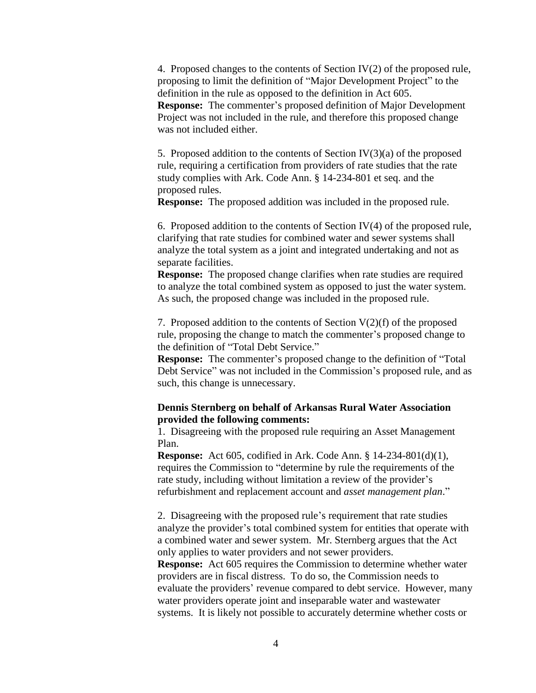4. Proposed changes to the contents of Section IV(2) of the proposed rule, proposing to limit the definition of "Major Development Project" to the definition in the rule as opposed to the definition in Act 605. **Response:** The commenter's proposed definition of Major Development Project was not included in the rule, and therefore this proposed change was not included either.

5. Proposed addition to the contents of Section  $IV(3)(a)$  of the proposed rule, requiring a certification from providers of rate studies that the rate study complies with Ark. Code Ann. § 14-234-801 et seq. and the proposed rules.

**Response:** The proposed addition was included in the proposed rule.

6. Proposed addition to the contents of Section  $IV(4)$  of the proposed rule, clarifying that rate studies for combined water and sewer systems shall analyze the total system as a joint and integrated undertaking and not as separate facilities.

**Response:** The proposed change clarifies when rate studies are required to analyze the total combined system as opposed to just the water system. As such, the proposed change was included in the proposed rule.

7. Proposed addition to the contents of Section  $V(2)(f)$  of the proposed rule, proposing the change to match the commenter's proposed change to the definition of "Total Debt Service."

**Response:** The commenter's proposed change to the definition of "Total Debt Service" was not included in the Commission's proposed rule, and as such, this change is unnecessary.

#### **Dennis Sternberg on behalf of Arkansas Rural Water Association provided the following comments:**

1. Disagreeing with the proposed rule requiring an Asset Management Plan.

**Response:** Act 605, codified in Ark. Code Ann. § 14-234-801(d)(1), requires the Commission to "determine by rule the requirements of the rate study, including without limitation a review of the provider's refurbishment and replacement account and *asset management plan*."

2. Disagreeing with the proposed rule's requirement that rate studies analyze the provider's total combined system for entities that operate with a combined water and sewer system. Mr. Sternberg argues that the Act only applies to water providers and not sewer providers.

**Response:** Act 605 requires the Commission to determine whether water providers are in fiscal distress. To do so, the Commission needs to evaluate the providers' revenue compared to debt service. However, many water providers operate joint and inseparable water and wastewater systems. It is likely not possible to accurately determine whether costs or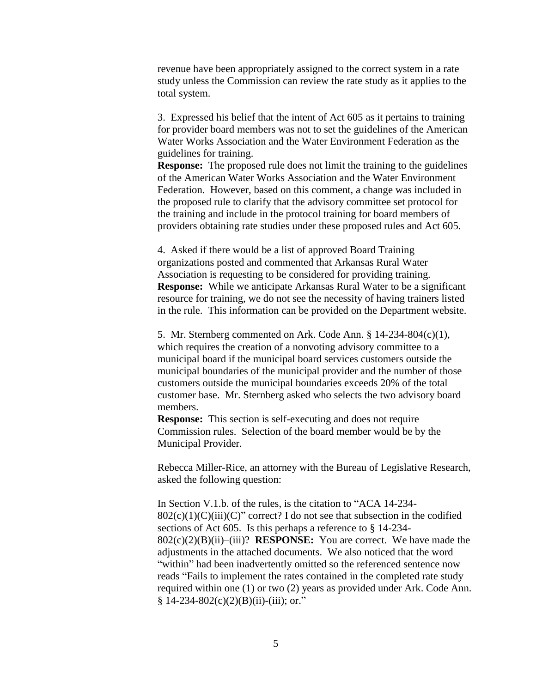revenue have been appropriately assigned to the correct system in a rate study unless the Commission can review the rate study as it applies to the total system.

3. Expressed his belief that the intent of Act 605 as it pertains to training for provider board members was not to set the guidelines of the American Water Works Association and the Water Environment Federation as the guidelines for training.

**Response:** The proposed rule does not limit the training to the guidelines of the American Water Works Association and the Water Environment Federation. However, based on this comment, a change was included in the proposed rule to clarify that the advisory committee set protocol for the training and include in the protocol training for board members of providers obtaining rate studies under these proposed rules and Act 605.

4. Asked if there would be a list of approved Board Training organizations posted and commented that Arkansas Rural Water Association is requesting to be considered for providing training. **Response:** While we anticipate Arkansas Rural Water to be a significant resource for training, we do not see the necessity of having trainers listed in the rule. This information can be provided on the Department website.

5. Mr. Sternberg commented on Ark. Code Ann. § 14-234-804(c)(1), which requires the creation of a nonvoting advisory committee to a municipal board if the municipal board services customers outside the municipal boundaries of the municipal provider and the number of those customers outside the municipal boundaries exceeds 20% of the total customer base. Mr. Sternberg asked who selects the two advisory board members.

**Response:** This section is self-executing and does not require Commission rules. Selection of the board member would be by the Municipal Provider.

Rebecca Miller-Rice, an attorney with the Bureau of Legislative Research, asked the following question:

In Section V.1.b. of the rules, is the citation to "ACA 14-234-  $802(c)(1)(C)(iii)(C)''$  correct? I do not see that subsection in the codified sections of Act 605. Is this perhaps a reference to § 14-234- 802(c)(2)(B)(ii)–(iii)? **RESPONSE:** You are correct. We have made the adjustments in the attached documents. We also noticed that the word "within" had been inadvertently omitted so the referenced sentence now reads "Fails to implement the rates contained in the completed rate study required within one (1) or two (2) years as provided under Ark. Code Ann.  $§ 14-234-802(c)(2)(B)(ii)-(iii); or."$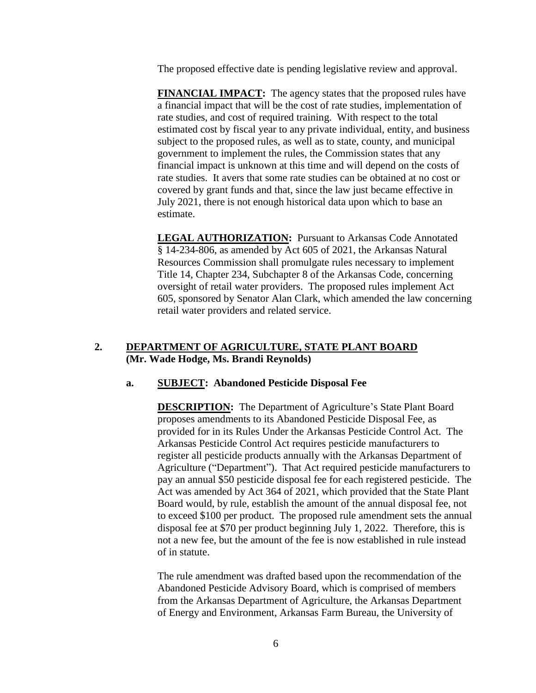The proposed effective date is pending legislative review and approval.

**FINANCIAL IMPACT:** The agency states that the proposed rules have a financial impact that will be the cost of rate studies, implementation of rate studies, and cost of required training. With respect to the total estimated cost by fiscal year to any private individual, entity, and business subject to the proposed rules, as well as to state, county, and municipal government to implement the rules, the Commission states that any financial impact is unknown at this time and will depend on the costs of rate studies. It avers that some rate studies can be obtained at no cost or covered by grant funds and that, since the law just became effective in July 2021, there is not enough historical data upon which to base an estimate.

**LEGAL AUTHORIZATION:** Pursuant to Arkansas Code Annotated § 14-234-806, as amended by Act 605 of 2021, the Arkansas Natural Resources Commission shall promulgate rules necessary to implement Title 14, Chapter 234, Subchapter 8 of the Arkansas Code, concerning oversight of retail water providers. The proposed rules implement Act 605, sponsored by Senator Alan Clark, which amended the law concerning retail water providers and related service.

## **2. DEPARTMENT OF AGRICULTURE, STATE PLANT BOARD (Mr. Wade Hodge, Ms. Brandi Reynolds)**

### **a. SUBJECT: Abandoned Pesticide Disposal Fee**

**DESCRIPTION:** The Department of Agriculture's State Plant Board proposes amendments to its Abandoned Pesticide Disposal Fee, as provided for in its Rules Under the Arkansas Pesticide Control Act. The Arkansas Pesticide Control Act requires pesticide manufacturers to register all pesticide products annually with the Arkansas Department of Agriculture ("Department"). That Act required pesticide manufacturers to pay an annual \$50 pesticide disposal fee for each registered pesticide. The Act was amended by Act 364 of 2021, which provided that the State Plant Board would, by rule, establish the amount of the annual disposal fee, not to exceed \$100 per product. The proposed rule amendment sets the annual disposal fee at \$70 per product beginning July 1, 2022. Therefore, this is not a new fee, but the amount of the fee is now established in rule instead of in statute.

The rule amendment was drafted based upon the recommendation of the Abandoned Pesticide Advisory Board, which is comprised of members from the Arkansas Department of Agriculture, the Arkansas Department of Energy and Environment, Arkansas Farm Bureau, the University of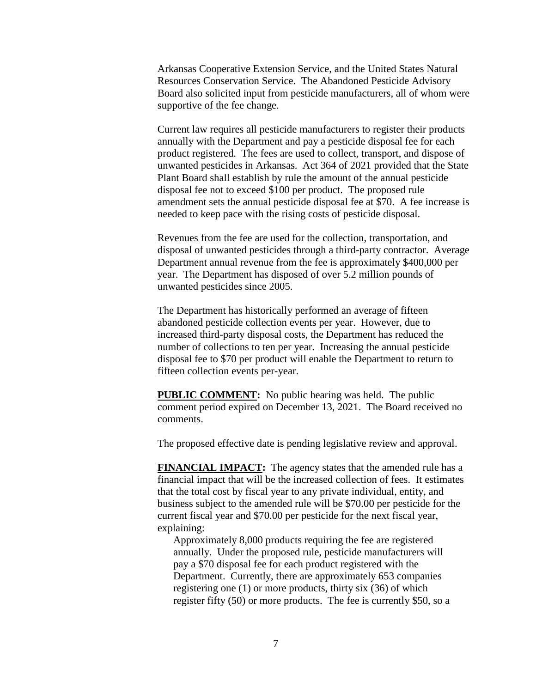Arkansas Cooperative Extension Service, and the United States Natural Resources Conservation Service. The Abandoned Pesticide Advisory Board also solicited input from pesticide manufacturers, all of whom were supportive of the fee change.

Current law requires all pesticide manufacturers to register their products annually with the Department and pay a pesticide disposal fee for each product registered. The fees are used to collect, transport, and dispose of unwanted pesticides in Arkansas. Act 364 of 2021 provided that the State Plant Board shall establish by rule the amount of the annual pesticide disposal fee not to exceed \$100 per product. The proposed rule amendment sets the annual pesticide disposal fee at \$70. A fee increase is needed to keep pace with the rising costs of pesticide disposal.

Revenues from the fee are used for the collection, transportation, and disposal of unwanted pesticides through a third-party contractor. Average Department annual revenue from the fee is approximately \$400,000 per year. The Department has disposed of over 5.2 million pounds of unwanted pesticides since 2005.

The Department has historically performed an average of fifteen abandoned pesticide collection events per year. However, due to increased third-party disposal costs, the Department has reduced the number of collections to ten per year. Increasing the annual pesticide disposal fee to \$70 per product will enable the Department to return to fifteen collection events per-year.

**PUBLIC COMMENT:** No public hearing was held. The public comment period expired on December 13, 2021. The Board received no comments.

The proposed effective date is pending legislative review and approval.

**FINANCIAL IMPACT:** The agency states that the amended rule has a financial impact that will be the increased collection of fees. It estimates that the total cost by fiscal year to any private individual, entity, and business subject to the amended rule will be \$70.00 per pesticide for the current fiscal year and \$70.00 per pesticide for the next fiscal year, explaining:

Approximately 8,000 products requiring the fee are registered annually. Under the proposed rule, pesticide manufacturers will pay a \$70 disposal fee for each product registered with the Department. Currently, there are approximately 653 companies registering one (1) or more products, thirty six (36) of which register fifty (50) or more products. The fee is currently \$50, so a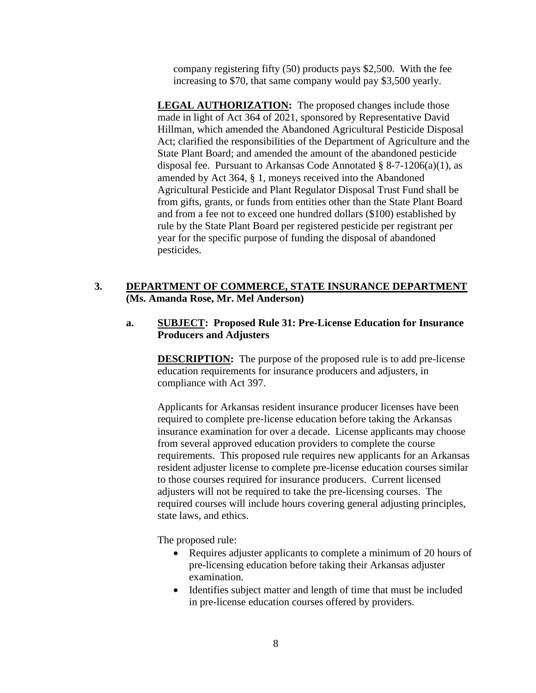company registering fifty (50) products pays \$2,500. With the fee increasing to \$70, that same company would pay \$3,500 yearly.

**LEGAL AUTHORIZATION:** The proposed changes include those made in light of Act 364 of 2021, sponsored by Representative David Hillman, which amended the Abandoned Agricultural Pesticide Disposal Act; clarified the responsibilities of the Department of Agriculture and the State Plant Board; and amended the amount of the abandoned pesticide disposal fee. Pursuant to Arkansas Code Annotated § 8-7-1206(a)(1), as amended by Act 364, § 1, moneys received into the Abandoned Agricultural Pesticide and Plant Regulator Disposal Trust Fund shall be from gifts, grants, or funds from entities other than the State Plant Board and from a fee not to exceed one hundred dollars (\$100) established by rule by the State Plant Board per registered pesticide per registrant per year for the specific purpose of funding the disposal of abandoned pesticides.

# **3. DEPARTMENT OF COMMERCE, STATE INSURANCE DEPARTMENT (Ms. Amanda Rose, Mr. Mel Anderson)**

## **a. SUBJECT: Proposed Rule 31: Pre-License Education for Insurance Producers and Adjusters**

**DESCRIPTION:** The purpose of the proposed rule is to add pre-license education requirements for insurance producers and adjusters, in compliance with Act 397.

Applicants for Arkansas resident insurance producer licenses have been required to complete pre-license education before taking the Arkansas insurance examination for over a decade. License applicants may choose from several approved education providers to complete the course requirements. This proposed rule requires new applicants for an Arkansas resident adjuster license to complete pre-license education courses similar to those courses required for insurance producers. Current licensed adjusters will not be required to take the pre-licensing courses. The required courses will include hours covering general adjusting principles, state laws, and ethics.

The proposed rule:

- Requires adjuster applicants to complete a minimum of 20 hours of pre-licensing education before taking their Arkansas adjuster examination.
- Identifies subject matter and length of time that must be included in pre-license education courses offered by providers.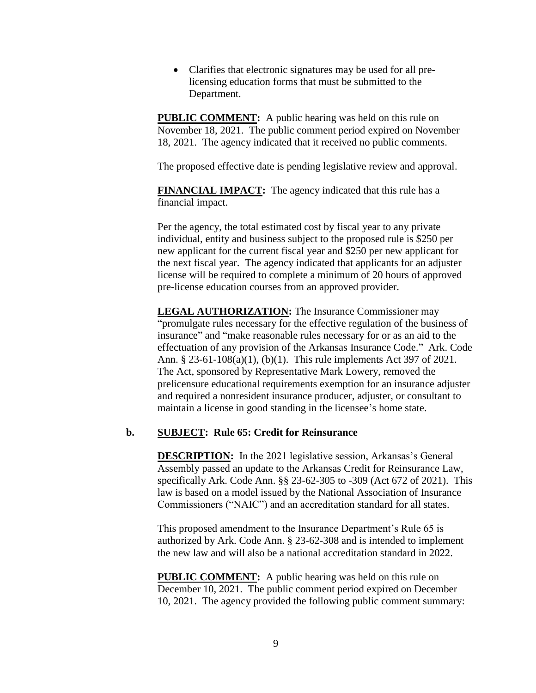Clarifies that electronic signatures may be used for all prelicensing education forms that must be submitted to the Department.

**PUBLIC COMMENT:** A public hearing was held on this rule on November 18, 2021. The public comment period expired on November 18, 2021. The agency indicated that it received no public comments.

The proposed effective date is pending legislative review and approval.

**FINANCIAL IMPACT:** The agency indicated that this rule has a financial impact.

Per the agency, the total estimated cost by fiscal year to any private individual, entity and business subject to the proposed rule is \$250 per new applicant for the current fiscal year and \$250 per new applicant for the next fiscal year. The agency indicated that applicants for an adjuster license will be required to complete a minimum of 20 hours of approved pre-license education courses from an approved provider.

**LEGAL AUTHORIZATION:** The Insurance Commissioner may "promulgate rules necessary for the effective regulation of the business of insurance" and "make reasonable rules necessary for or as an aid to the effectuation of any provision of the Arkansas Insurance Code." Ark. Code Ann. § 23-61-108(a)(1), (b)(1). This rule implements Act 397 of 2021. The Act, sponsored by Representative Mark Lowery, removed the prelicensure educational requirements exemption for an insurance adjuster and required a nonresident insurance producer, adjuster, or consultant to maintain a license in good standing in the licensee's home state.

#### **b. SUBJECT: Rule 65: Credit for Reinsurance**

**DESCRIPTION:** In the 2021 legislative session, Arkansas's General Assembly passed an update to the Arkansas Credit for Reinsurance Law, specifically Ark. Code Ann. §§ 23-62-305 to -309 (Act 672 of 2021). This law is based on a model issued by the National Association of Insurance Commissioners ("NAIC") and an accreditation standard for all states.

This proposed amendment to the Insurance Department's Rule 65 is authorized by Ark. Code Ann. § 23-62-308 and is intended to implement the new law and will also be a national accreditation standard in 2022.

**PUBLIC COMMENT:** A public hearing was held on this rule on December 10, 2021. The public comment period expired on December 10, 2021. The agency provided the following public comment summary: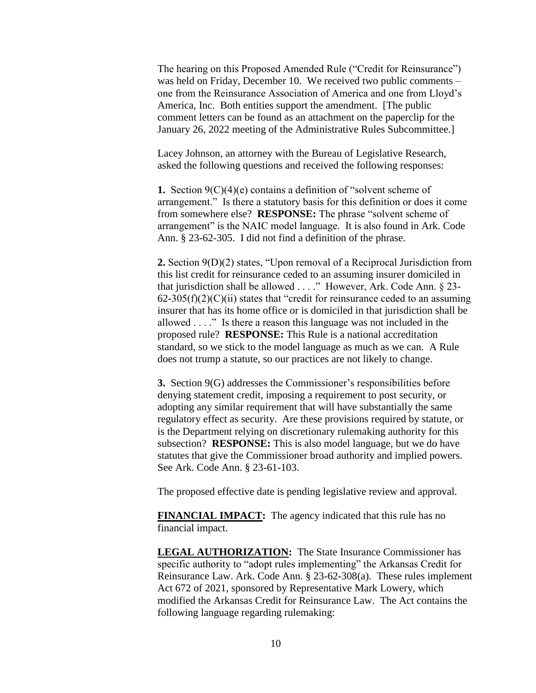The hearing on this Proposed Amended Rule ("Credit for Reinsurance") was held on Friday, December 10. We received two public comments – one from the Reinsurance Association of America and one from Lloyd's America, Inc. Both entities support the amendment. [The public comment letters can be found as an attachment on the paperclip for the January 26, 2022 meeting of the Administrative Rules Subcommittee.]

Lacey Johnson, an attorney with the Bureau of Legislative Research, asked the following questions and received the following responses:

**1.** Section 9(C)(4)(e) contains a definition of "solvent scheme of arrangement." Is there a statutory basis for this definition or does it come from somewhere else? **RESPONSE:** The phrase "solvent scheme of arrangement" is the NAIC model language. It is also found in Ark. Code Ann. § 23-62-305. I did not find a definition of the phrase.

**2.** Section 9(D)(2) states, "Upon removal of a Reciprocal Jurisdiction from this list credit for reinsurance ceded to an assuming insurer domiciled in that jurisdiction shall be allowed . . . ." However, Ark. Code Ann. § 23-  $62-305(f)(2)(C)(ii)$  states that "credit for reinsurance ceded to an assuming insurer that has its home office or is domiciled in that jurisdiction shall be allowed . . . ." Is there a reason this language was not included in the proposed rule? **RESPONSE:** This Rule is a national accreditation standard, so we stick to the model language as much as we can. A Rule does not trump a statute, so our practices are not likely to change.

**3.** Section 9(G) addresses the Commissioner's responsibilities before denying statement credit, imposing a requirement to post security, or adopting any similar requirement that will have substantially the same regulatory effect as security. Are these provisions required by statute, or is the Department relying on discretionary rulemaking authority for this subsection? **RESPONSE:** This is also model language, but we do have statutes that give the Commissioner broad authority and implied powers. See Ark. Code Ann. § 23-61-103.

The proposed effective date is pending legislative review and approval.

**FINANCIAL IMPACT:** The agency indicated that this rule has no financial impact.

**LEGAL AUTHORIZATION:** The State Insurance Commissioner has specific authority to "adopt rules implementing" the Arkansas Credit for Reinsurance Law. Ark. Code Ann. § 23-62-308(a). These rules implement Act 672 of 2021, sponsored by Representative Mark Lowery, which modified the Arkansas Credit for Reinsurance Law. The Act contains the following language regarding rulemaking: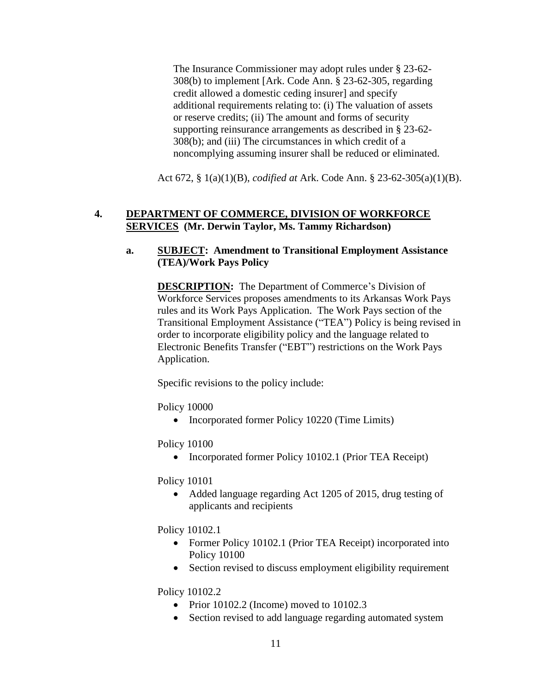The Insurance Commissioner may adopt rules under § 23-62- 308(b) to implement [Ark. Code Ann. § 23-62-305, regarding credit allowed a domestic ceding insurer] and specify additional requirements relating to: (i) The valuation of assets or reserve credits; (ii) The amount and forms of security supporting reinsurance arrangements as described in § 23-62- 308(b); and (iii) The circumstances in which credit of a noncomplying assuming insurer shall be reduced or eliminated.

Act 672, § 1(a)(1)(B), *codified at* Ark. Code Ann. § 23-62-305(a)(1)(B).

### **4. DEPARTMENT OF COMMERCE, DIVISION OF WORKFORCE SERVICES (Mr. Derwin Taylor, Ms. Tammy Richardson)**

#### **a. SUBJECT: Amendment to Transitional Employment Assistance (TEA)/Work Pays Policy**

**DESCRIPTION:** The Department of Commerce's Division of Workforce Services proposes amendments to its Arkansas Work Pays rules and its Work Pays Application. The Work Pays section of the Transitional Employment Assistance ("TEA") Policy is being revised in order to incorporate eligibility policy and the language related to Electronic Benefits Transfer ("EBT") restrictions on the Work Pays Application.

Specific revisions to the policy include:

Policy 10000

• Incorporated former Policy 10220 (Time Limits)

Policy 10100

• Incorporated former Policy 10102.1 (Prior TEA Receipt)

Policy 10101

• Added language regarding Act 1205 of 2015, drug testing of applicants and recipients

Policy 10102.1

- Former Policy 10102.1 (Prior TEA Receipt) incorporated into Policy 10100
- Section revised to discuss employment eligibility requirement

Policy 10102.2

- Prior 10102.2 (Income) moved to  $10102.3$
- Section revised to add language regarding automated system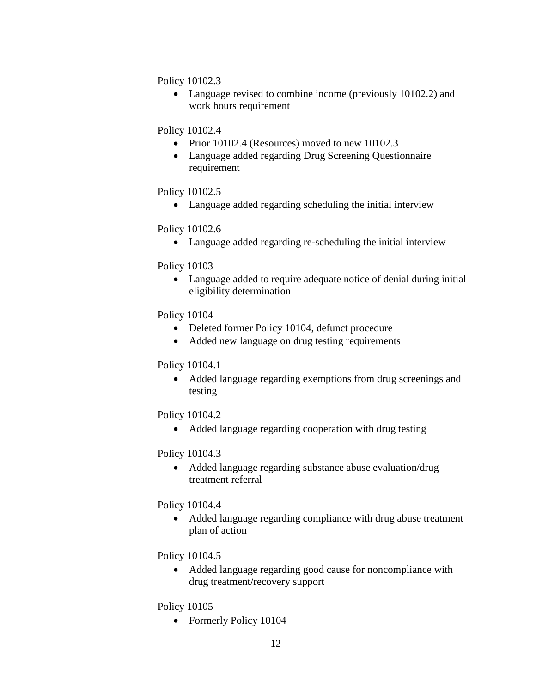Policy 10102.3

 Language revised to combine income (previously 10102.2) and work hours requirement

Policy 10102.4

- Prior 10102.4 (Resources) moved to new 10102.3
- Language added regarding Drug Screening Questionnaire requirement

### Policy 10102.5

Language added regarding scheduling the initial interview

## Policy 10102.6

Language added regarding re-scheduling the initial interview

## Policy 10103

 Language added to require adequate notice of denial during initial eligibility determination

## Policy 10104

- Deleted former Policy 10104, defunct procedure
- Added new language on drug testing requirements

### Policy 10104.1

• Added language regarding exemptions from drug screenings and testing

# Policy 10104.2

• Added language regarding cooperation with drug testing

### Policy 10104.3

• Added language regarding substance abuse evaluation/drug treatment referral

### Policy 10104.4

 Added language regarding compliance with drug abuse treatment plan of action

# Policy 10104.5

 Added language regarding good cause for noncompliance with drug treatment/recovery support

### Policy 10105

• Formerly Policy 10104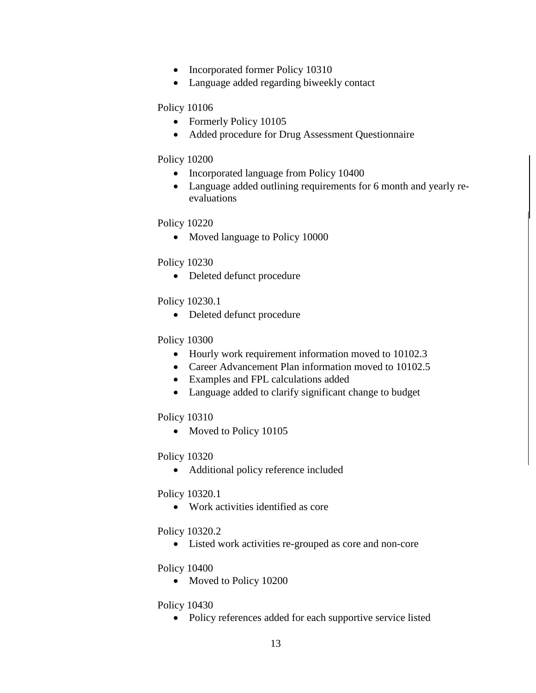- Incorporated former Policy 10310
- Language added regarding biweekly contact

### Policy 10106

- Formerly Policy 10105
- Added procedure for Drug Assessment Questionnaire

## Policy 10200

- Incorporated language from Policy 10400
- Language added outlining requirements for 6 month and yearly reevaluations

## Policy 10220

• Moved language to Policy 10000

## Policy 10230

• Deleted defunct procedure

# Policy 10230.1

Deleted defunct procedure

# Policy 10300

- Hourly work requirement information moved to 10102.3
- Career Advancement Plan information moved to 10102.5
- Examples and FPL calculations added
- Language added to clarify significant change to budget

### Policy 10310

• Moved to Policy 10105

# Policy 10320

Additional policy reference included

# Policy 10320.1

Work activities identified as core

# Policy 10320.2

Listed work activities re-grouped as core and non-core

### Policy 10400

• Moved to Policy 10200

# Policy 10430

• Policy references added for each supportive service listed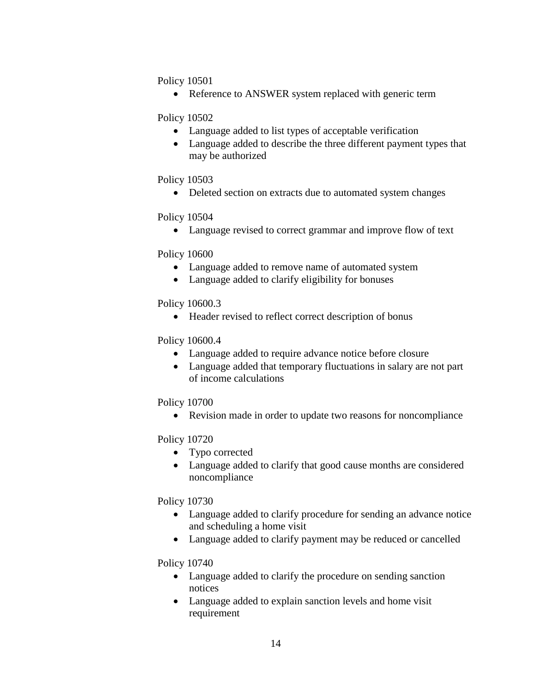Policy 10501

• Reference to ANSWER system replaced with generic term

Policy 10502

- Language added to list types of acceptable verification
- Language added to describe the three different payment types that may be authorized

### Policy 10503

• Deleted section on extracts due to automated system changes

#### Policy 10504

Language revised to correct grammar and improve flow of text

#### Policy 10600

- Language added to remove name of automated system
- Language added to clarify eligibility for bonuses

#### Policy 10600.3

• Header revised to reflect correct description of bonus

### Policy 10600.4

- Language added to require advance notice before closure
- Language added that temporary fluctuations in salary are not part of income calculations

#### Policy 10700

Revision made in order to update two reasons for noncompliance

### Policy 10720

- Typo corrected
- Language added to clarify that good cause months are considered noncompliance

### Policy 10730

- Language added to clarify procedure for sending an advance notice and scheduling a home visit
- Language added to clarify payment may be reduced or cancelled

### Policy 10740

- Language added to clarify the procedure on sending sanction notices
- Language added to explain sanction levels and home visit requirement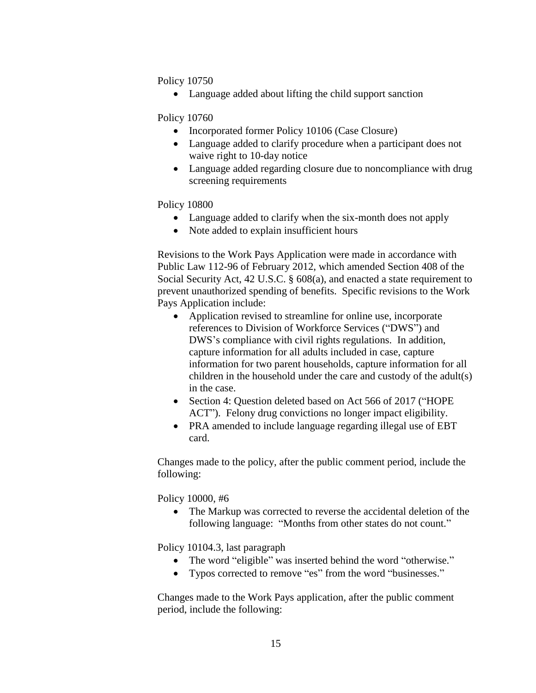Policy 10750

• Language added about lifting the child support sanction

Policy 10760

- Incorporated former Policy 10106 (Case Closure)
- Language added to clarify procedure when a participant does not waive right to 10-day notice
- Language added regarding closure due to noncompliance with drug screening requirements

Policy 10800

- Language added to clarify when the six-month does not apply
- Note added to explain insufficient hours

Revisions to the Work Pays Application were made in accordance with Public Law 112-96 of February 2012, which amended Section 408 of the Social Security Act, 42 U.S.C. § 608(a), and enacted a state requirement to prevent unauthorized spending of benefits. Specific revisions to the Work Pays Application include:

- Application revised to streamline for online use, incorporate references to Division of Workforce Services ("DWS") and DWS's compliance with civil rights regulations. In addition, capture information for all adults included in case, capture information for two parent households, capture information for all children in the household under the care and custody of the adult(s) in the case.
- Section 4: Question deleted based on Act 566 of 2017 ("HOPE ACT"). Felony drug convictions no longer impact eligibility.
- PRA amended to include language regarding illegal use of EBT card.

Changes made to the policy, after the public comment period, include the following:

Policy 10000, #6

• The Markup was corrected to reverse the accidental deletion of the following language: "Months from other states do not count."

Policy 10104.3, last paragraph

- The word "eligible" was inserted behind the word "otherwise."
- Typos corrected to remove "es" from the word "businesses."

Changes made to the Work Pays application, after the public comment period, include the following: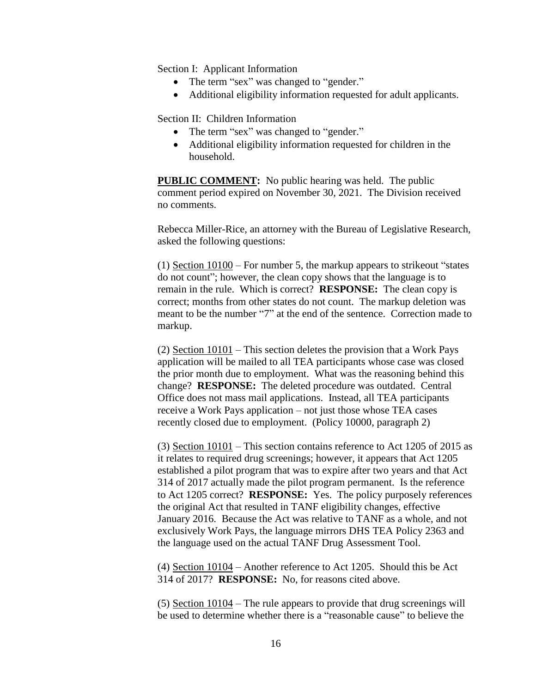Section I: Applicant Information

- The term "sex" was changed to "gender."
- Additional eligibility information requested for adult applicants.

Section II: Children Information

- The term "sex" was changed to "gender."
- Additional eligibility information requested for children in the household.

**PUBLIC COMMENT:** No public hearing was held. The public comment period expired on November 30, 2021. The Division received no comments.

Rebecca Miller-Rice, an attorney with the Bureau of Legislative Research, asked the following questions:

(1) Section 10100 – For number 5, the markup appears to strikeout "states do not count"; however, the clean copy shows that the language is to remain in the rule. Which is correct? **RESPONSE:** The clean copy is correct; months from other states do not count. The markup deletion was meant to be the number "7" at the end of the sentence. Correction made to markup.

(2) Section 10101 – This section deletes the provision that a Work Pays application will be mailed to all TEA participants whose case was closed the prior month due to employment. What was the reasoning behind this change? **RESPONSE:** The deleted procedure was outdated. Central Office does not mass mail applications. Instead, all TEA participants receive a Work Pays application – not just those whose TEA cases recently closed due to employment. (Policy 10000, paragraph 2)

(3) Section 10101 – This section contains reference to Act 1205 of 2015 as it relates to required drug screenings; however, it appears that Act 1205 established a pilot program that was to expire after two years and that Act 314 of 2017 actually made the pilot program permanent. Is the reference to Act 1205 correct? **RESPONSE:** Yes. The policy purposely references the original Act that resulted in TANF eligibility changes, effective January 2016. Because the Act was relative to TANF as a whole, and not exclusively Work Pays, the language mirrors DHS TEA Policy 2363 and the language used on the actual TANF Drug Assessment Tool.

(4) Section 10104 – Another reference to Act 1205. Should this be Act 314 of 2017? **RESPONSE:** No, for reasons cited above.

(5) Section 10104 – The rule appears to provide that drug screenings will be used to determine whether there is a "reasonable cause" to believe the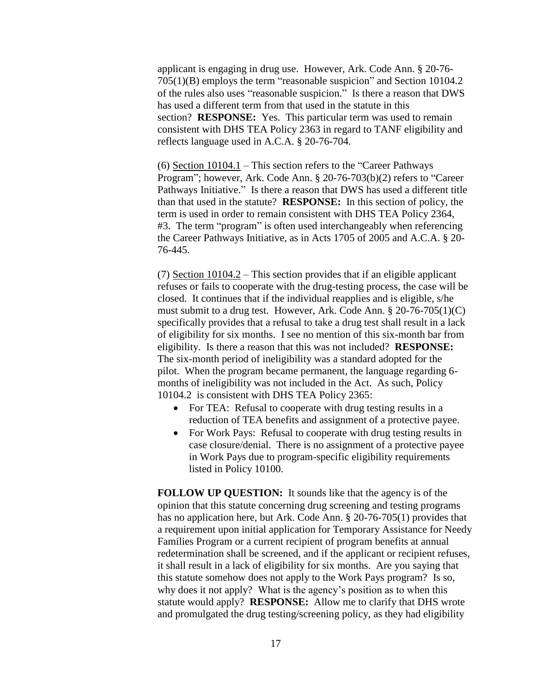applicant is engaging in drug use. However, Ark. Code Ann. § 20-76- 705(1)(B) employs the term "reasonable suspicion" and Section 10104.2 of the rules also uses "reasonable suspicion." Is there a reason that DWS has used a different term from that used in the statute in this section? **RESPONSE:** Yes. This particular term was used to remain consistent with DHS TEA Policy 2363 in regard to TANF eligibility and reflects language used in A.C.A. § 20-76-704.

(6) Section  $10104.1$  – This section refers to the "Career Pathways Program"; however, Ark. Code Ann. § 20-76-703(b)(2) refers to "Career Pathways Initiative." Is there a reason that DWS has used a different title than that used in the statute? **RESPONSE:** In this section of policy, the term is used in order to remain consistent with DHS TEA Policy 2364, #3. The term "program" is often used interchangeably when referencing the Career Pathways Initiative, as in Acts 1705 of 2005 and A.C.A. § 20- 76-445.

(7) Section 10104.2 – This section provides that if an eligible applicant refuses or fails to cooperate with the drug-testing process, the case will be closed. It continues that if the individual reapplies and is eligible, s/he must submit to a drug test. However, Ark. Code Ann. § 20-76-705(1)(C) specifically provides that a refusal to take a drug test shall result in a lack of eligibility for six months. I see no mention of this six-month bar from eligibility. Is there a reason that this was not included? **RESPONSE:** The six-month period of ineligibility was a standard adopted for the pilot. When the program became permanent, the language regarding 6 months of ineligibility was not included in the Act. As such, Policy 10104.2 is consistent with DHS TEA Policy 2365:

- For TEA: Refusal to cooperate with drug testing results in a reduction of TEA benefits and assignment of a protective payee.
- For Work Pays: Refusal to cooperate with drug testing results in case closure/denial. There is no assignment of a protective payee in Work Pays due to program-specific eligibility requirements listed in Policy 10100.

**FOLLOW UP QUESTION:** It sounds like that the agency is of the opinion that this statute concerning drug screening and testing programs has no application here, but Ark. Code Ann. § 20-76-705(1) provides that a requirement upon initial application for Temporary Assistance for Needy Families Program or a current recipient of program benefits at annual redetermination shall be screened, and if the applicant or recipient refuses, it shall result in a lack of eligibility for six months. Are you saying that this statute somehow does not apply to the Work Pays program? Is so, why does it not apply? What is the agency's position as to when this statute would apply? **RESPONSE:** Allow me to clarify that DHS wrote and promulgated the drug testing/screening policy, as they had eligibility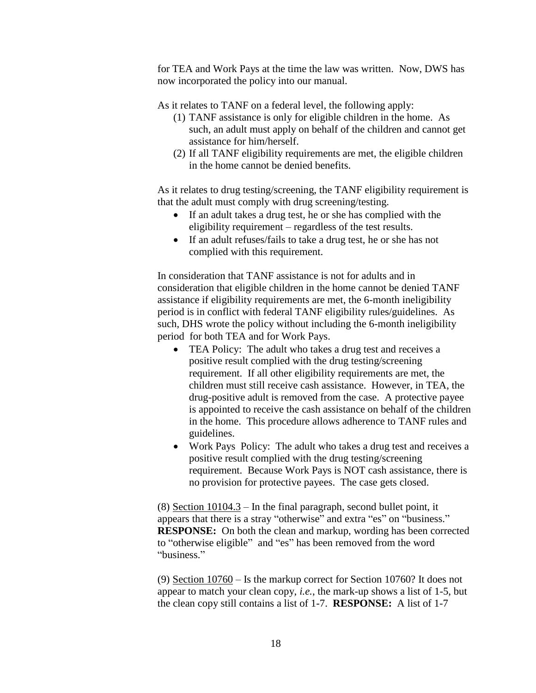for TEA and Work Pays at the time the law was written. Now, DWS has now incorporated the policy into our manual.

As it relates to TANF on a federal level, the following apply:

- (1) TANF assistance is only for eligible children in the home. As such, an adult must apply on behalf of the children and cannot get assistance for him/herself.
- (2) If all TANF eligibility requirements are met, the eligible children in the home cannot be denied benefits.

As it relates to drug testing/screening, the TANF eligibility requirement is that the adult must comply with drug screening/testing.

- If an adult takes a drug test, he or she has complied with the eligibility requirement – regardless of the test results.
- If an adult refuses/fails to take a drug test, he or she has not complied with this requirement.

In consideration that TANF assistance is not for adults and in consideration that eligible children in the home cannot be denied TANF assistance if eligibility requirements are met, the 6-month ineligibility period is in conflict with federal TANF eligibility rules/guidelines. As such, DHS wrote the policy without including the 6-month ineligibility period for both TEA and for Work Pays.

- TEA Policy: The adult who takes a drug test and receives a positive result complied with the drug testing/screening requirement. If all other eligibility requirements are met, the children must still receive cash assistance. However, in TEA, the drug-positive adult is removed from the case. A protective payee is appointed to receive the cash assistance on behalf of the children in the home. This procedure allows adherence to TANF rules and guidelines.
- Work Pays Policy: The adult who takes a drug test and receives a positive result complied with the drug testing/screening requirement. Because Work Pays is NOT cash assistance, there is no provision for protective payees. The case gets closed.

(8) Section 10104.3 – In the final paragraph, second bullet point, it appears that there is a stray "otherwise" and extra "es" on "business." **RESPONSE:** On both the clean and markup, wording has been corrected to "otherwise eligible" and "es" has been removed from the word "business."

(9) Section 10760 – Is the markup correct for Section 10760? It does not appear to match your clean copy, *i.e.*, the mark-up shows a list of 1-5, but the clean copy still contains a list of 1-7. **RESPONSE:** A list of 1-7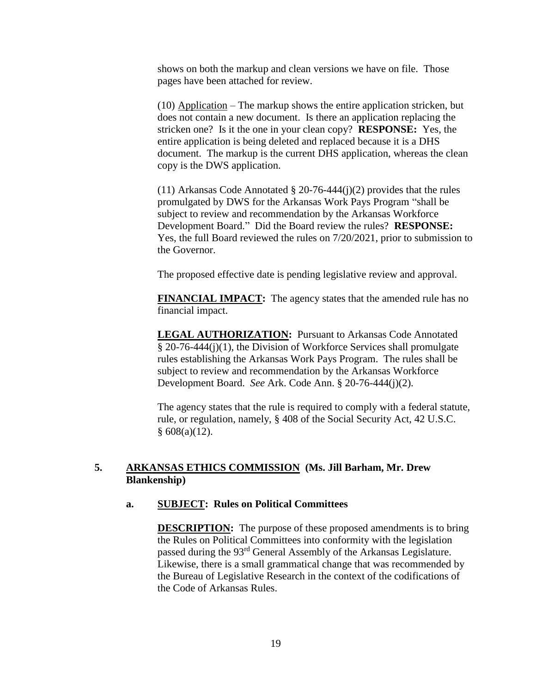shows on both the markup and clean versions we have on file. Those pages have been attached for review.

(10) Application – The markup shows the entire application stricken, but does not contain a new document. Is there an application replacing the stricken one? Is it the one in your clean copy? **RESPONSE:** Yes, the entire application is being deleted and replaced because it is a DHS document. The markup is the current DHS application, whereas the clean copy is the DWS application.

(11) Arkansas Code Annotated § 20-76-444(j)(2) provides that the rules promulgated by DWS for the Arkansas Work Pays Program "shall be subject to review and recommendation by the Arkansas Workforce Development Board." Did the Board review the rules? **RESPONSE:** Yes, the full Board reviewed the rules on 7/20/2021, prior to submission to the Governor.

The proposed effective date is pending legislative review and approval.

**FINANCIAL IMPACT:** The agency states that the amended rule has no financial impact.

**LEGAL AUTHORIZATION:** Pursuant to Arkansas Code Annotated § 20-76-444(j)(1), the Division of Workforce Services shall promulgate rules establishing the Arkansas Work Pays Program. The rules shall be subject to review and recommendation by the Arkansas Workforce Development Board. *See* Ark. Code Ann. § 20-76-444(j)(2).

The agency states that the rule is required to comply with a federal statute, rule, or regulation, namely, § 408 of the Social Security Act, 42 U.S.C.  $§ 608(a)(12).$ 

### **5. ARKANSAS ETHICS COMMISSION (Ms. Jill Barham, Mr. Drew Blankenship)**

#### **a. SUBJECT: Rules on Political Committees**

**DESCRIPTION:** The purpose of these proposed amendments is to bring the Rules on Political Committees into conformity with the legislation passed during the 93rd General Assembly of the Arkansas Legislature. Likewise, there is a small grammatical change that was recommended by the Bureau of Legislative Research in the context of the codifications of the Code of Arkansas Rules.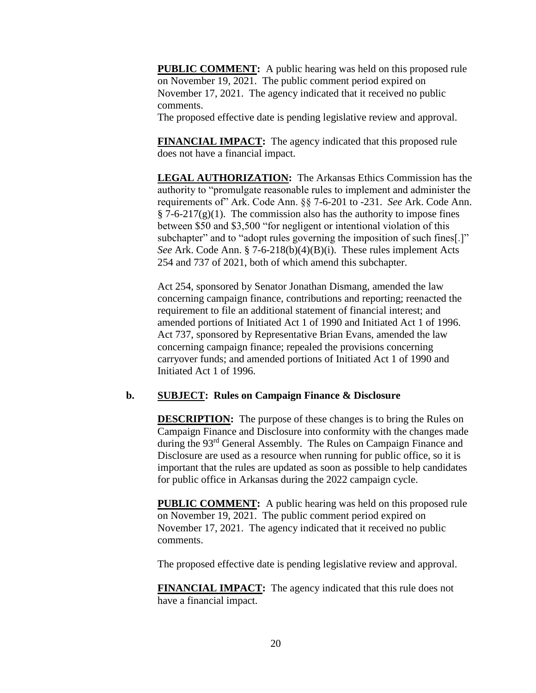**PUBLIC COMMENT:** A public hearing was held on this proposed rule on November 19, 2021. The public comment period expired on November 17, 2021. The agency indicated that it received no public comments.

The proposed effective date is pending legislative review and approval.

**FINANCIAL IMPACT:** The agency indicated that this proposed rule does not have a financial impact.

**LEGAL AUTHORIZATION:** The Arkansas Ethics Commission has the authority to "promulgate reasonable rules to implement and administer the requirements of" Ark. Code Ann. §§ 7-6-201 to -231. *See* Ark. Code Ann.  $\S$  7-6-217(g)(1). The commission also has the authority to impose fines between \$50 and \$3,500 "for negligent or intentional violation of this subchapter" and to "adopt rules governing the imposition of such fines..." *See* Ark. Code Ann. § 7-6-218(b)(4)(B)(i). These rules implement Acts 254 and 737 of 2021, both of which amend this subchapter.

Act 254, sponsored by Senator Jonathan Dismang, amended the law concerning campaign finance, contributions and reporting; reenacted the requirement to file an additional statement of financial interest; and amended portions of Initiated Act 1 of 1990 and Initiated Act 1 of 1996. Act 737, sponsored by Representative Brian Evans, amended the law concerning campaign finance; repealed the provisions concerning carryover funds; and amended portions of Initiated Act 1 of 1990 and Initiated Act 1 of 1996.

### **b. SUBJECT: Rules on Campaign Finance & Disclosure**

**DESCRIPTION:** The purpose of these changes is to bring the Rules on Campaign Finance and Disclosure into conformity with the changes made during the 93rd General Assembly. The Rules on Campaign Finance and Disclosure are used as a resource when running for public office, so it is important that the rules are updated as soon as possible to help candidates for public office in Arkansas during the 2022 campaign cycle.

**PUBLIC COMMENT:** A public hearing was held on this proposed rule on November 19, 2021. The public comment period expired on November 17, 2021. The agency indicated that it received no public comments.

The proposed effective date is pending legislative review and approval.

**FINANCIAL IMPACT:** The agency indicated that this rule does not have a financial impact.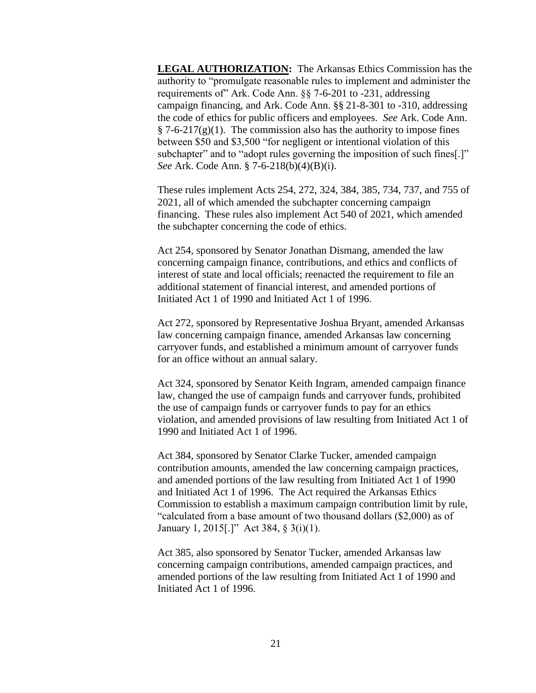**LEGAL AUTHORIZATION:** The Arkansas Ethics Commission has the authority to "promulgate reasonable rules to implement and administer the requirements of" Ark. Code Ann. §§ 7-6-201 to -231, addressing campaign financing, and Ark. Code Ann. §§ 21-8-301 to -310, addressing the code of ethics for public officers and employees. *See* Ark. Code Ann.  $§ 7-6-217(g)(1)$ . The commission also has the authority to impose fines between \$50 and \$3,500 "for negligent or intentional violation of this subchapter" and to "adopt rules governing the imposition of such fines.]" *See* Ark. Code Ann. § 7-6-218(b)(4)(B)(i).

These rules implement Acts 254, 272, 324, 384, 385, 734, 737, and 755 of 2021, all of which amended the subchapter concerning campaign financing. These rules also implement Act 540 of 2021, which amended the subchapter concerning the code of ethics.

Act 254, sponsored by Senator Jonathan Dismang, amended the law concerning campaign finance, contributions, and ethics and conflicts of interest of state and local officials; reenacted the requirement to file an additional statement of financial interest, and amended portions of Initiated Act 1 of 1990 and Initiated Act 1 of 1996.

Act 272, sponsored by Representative Joshua Bryant, amended Arkansas law concerning campaign finance, amended Arkansas law concerning carryover funds, and established a minimum amount of carryover funds for an office without an annual salary.

Act 324, sponsored by Senator Keith Ingram, amended campaign finance law, changed the use of campaign funds and carryover funds, prohibited the use of campaign funds or carryover funds to pay for an ethics violation, and amended provisions of law resulting from Initiated Act 1 of 1990 and Initiated Act 1 of 1996.

Act 384, sponsored by Senator Clarke Tucker, amended campaign contribution amounts, amended the law concerning campaign practices, and amended portions of the law resulting from Initiated Act 1 of 1990 and Initiated Act 1 of 1996. The Act required the Arkansas Ethics Commission to establish a maximum campaign contribution limit by rule, "calculated from a base amount of two thousand dollars (\$2,000) as of January 1, 2015[.]" Act 384, § 3(i)(1).

Act 385, also sponsored by Senator Tucker, amended Arkansas law concerning campaign contributions, amended campaign practices, and amended portions of the law resulting from Initiated Act 1 of 1990 and Initiated Act 1 of 1996.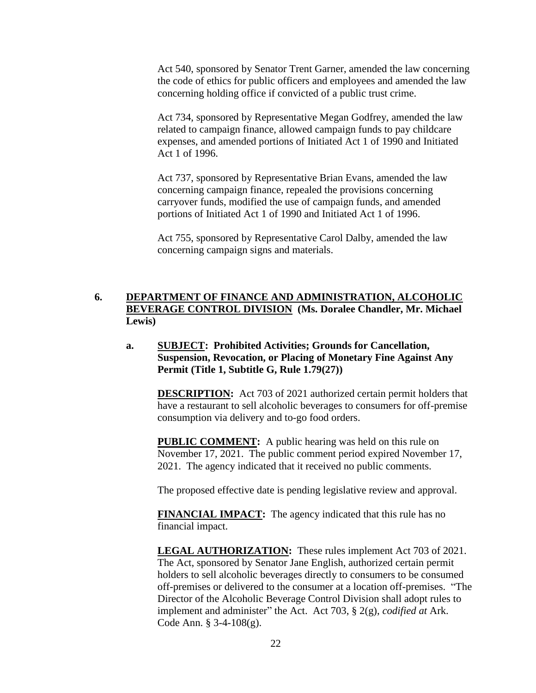Act 540, sponsored by Senator Trent Garner, amended the law concerning the code of ethics for public officers and employees and amended the law concerning holding office if convicted of a public trust crime.

Act 734, sponsored by Representative Megan Godfrey, amended the law related to campaign finance, allowed campaign funds to pay childcare expenses, and amended portions of Initiated Act 1 of 1990 and Initiated Act 1 of 1996.

Act 737, sponsored by Representative Brian Evans, amended the law concerning campaign finance, repealed the provisions concerning carryover funds, modified the use of campaign funds, and amended portions of Initiated Act 1 of 1990 and Initiated Act 1 of 1996.

Act 755, sponsored by Representative Carol Dalby, amended the law concerning campaign signs and materials.

## **6. DEPARTMENT OF FINANCE AND ADMINISTRATION, ALCOHOLIC BEVERAGE CONTROL DIVISION (Ms. Doralee Chandler, Mr. Michael Lewis)**

### **a. SUBJECT: Prohibited Activities; Grounds for Cancellation, Suspension, Revocation, or Placing of Monetary Fine Against Any Permit (Title 1, Subtitle G, Rule 1.79(27))**

**DESCRIPTION:** Act 703 of 2021 authorized certain permit holders that have a restaurant to sell alcoholic beverages to consumers for off-premise consumption via delivery and to-go food orders.

**PUBLIC COMMENT:** A public hearing was held on this rule on November 17, 2021. The public comment period expired November 17, 2021. The agency indicated that it received no public comments.

The proposed effective date is pending legislative review and approval.

**FINANCIAL IMPACT:** The agency indicated that this rule has no financial impact.

**LEGAL AUTHORIZATION:** These rules implement Act 703 of 2021. The Act, sponsored by Senator Jane English, authorized certain permit holders to sell alcoholic beverages directly to consumers to be consumed off-premises or delivered to the consumer at a location off-premises. "The Director of the Alcoholic Beverage Control Division shall adopt rules to implement and administer" the Act. Act 703, § 2(g), *codified at* Ark. Code Ann. § 3-4-108(g).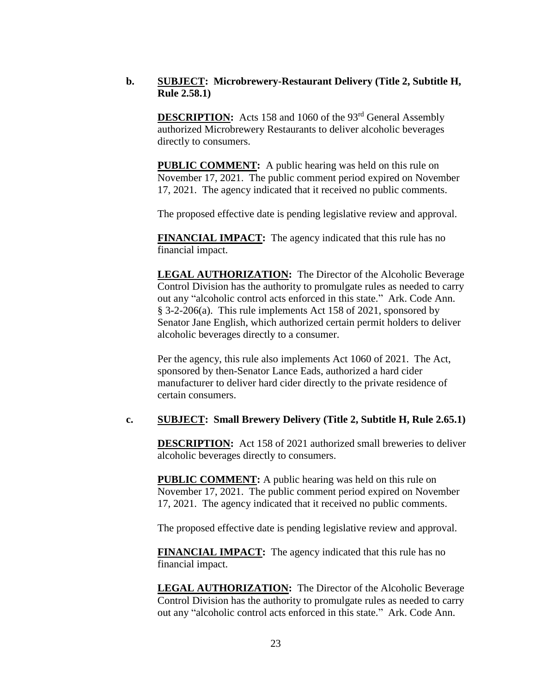## **b. SUBJECT: Microbrewery-Restaurant Delivery (Title 2, Subtitle H, Rule 2.58.1)**

**DESCRIPTION:** Acts 158 and 1060 of the 93<sup>rd</sup> General Assembly authorized Microbrewery Restaurants to deliver alcoholic beverages directly to consumers.

**PUBLIC COMMENT:** A public hearing was held on this rule on November 17, 2021. The public comment period expired on November 17, 2021. The agency indicated that it received no public comments.

The proposed effective date is pending legislative review and approval.

**FINANCIAL IMPACT:** The agency indicated that this rule has no financial impact.

**LEGAL AUTHORIZATION:** The Director of the Alcoholic Beverage Control Division has the authority to promulgate rules as needed to carry out any "alcoholic control acts enforced in this state." Ark. Code Ann. § 3-2-206(a). This rule implements Act 158 of 2021, sponsored by Senator Jane English, which authorized certain permit holders to deliver alcoholic beverages directly to a consumer.

Per the agency, this rule also implements Act 1060 of 2021. The Act, sponsored by then-Senator Lance Eads, authorized a hard cider manufacturer to deliver hard cider directly to the private residence of certain consumers.

### **c. SUBJECT: Small Brewery Delivery (Title 2, Subtitle H, Rule 2.65.1)**

**DESCRIPTION:** Act 158 of 2021 authorized small breweries to deliver alcoholic beverages directly to consumers.

**PUBLIC COMMENT:** A public hearing was held on this rule on November 17, 2021. The public comment period expired on November 17, 2021. The agency indicated that it received no public comments.

The proposed effective date is pending legislative review and approval.

**FINANCIAL IMPACT:** The agency indicated that this rule has no financial impact.

**LEGAL AUTHORIZATION:** The Director of the Alcoholic Beverage Control Division has the authority to promulgate rules as needed to carry out any "alcoholic control acts enforced in this state." Ark. Code Ann.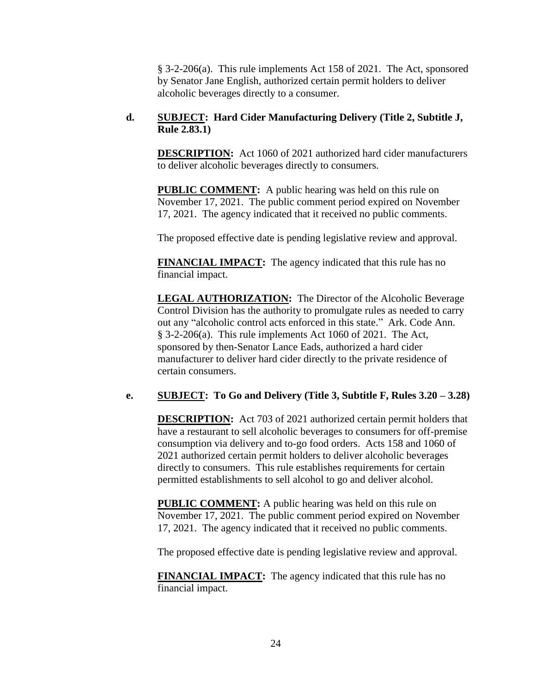§ 3-2-206(a). This rule implements Act 158 of 2021. The Act, sponsored by Senator Jane English, authorized certain permit holders to deliver alcoholic beverages directly to a consumer.

### **d. SUBJECT: Hard Cider Manufacturing Delivery (Title 2, Subtitle J, Rule 2.83.1)**

**DESCRIPTION:** Act 1060 of 2021 authorized hard cider manufacturers to deliver alcoholic beverages directly to consumers.

**PUBLIC COMMENT:** A public hearing was held on this rule on November 17, 2021. The public comment period expired on November 17, 2021. The agency indicated that it received no public comments.

The proposed effective date is pending legislative review and approval.

**FINANCIAL IMPACT:** The agency indicated that this rule has no financial impact.

**LEGAL AUTHORIZATION:** The Director of the Alcoholic Beverage Control Division has the authority to promulgate rules as needed to carry out any "alcoholic control acts enforced in this state." Ark. Code Ann. § 3-2-206(a). This rule implements Act 1060 of 2021. The Act, sponsored by then-Senator Lance Eads, authorized a hard cider manufacturer to deliver hard cider directly to the private residence of certain consumers.

# **e. SUBJECT: To Go and Delivery (Title 3, Subtitle F, Rules 3.20 – 3.28)**

**DESCRIPTION:** Act 703 of 2021 authorized certain permit holders that have a restaurant to sell alcoholic beverages to consumers for off-premise consumption via delivery and to-go food orders. Acts 158 and 1060 of 2021 authorized certain permit holders to deliver alcoholic beverages directly to consumers. This rule establishes requirements for certain permitted establishments to sell alcohol to go and deliver alcohol.

**PUBLIC COMMENT:** A public hearing was held on this rule on November 17, 2021. The public comment period expired on November 17, 2021. The agency indicated that it received no public comments.

The proposed effective date is pending legislative review and approval.

**FINANCIAL IMPACT:** The agency indicated that this rule has no financial impact.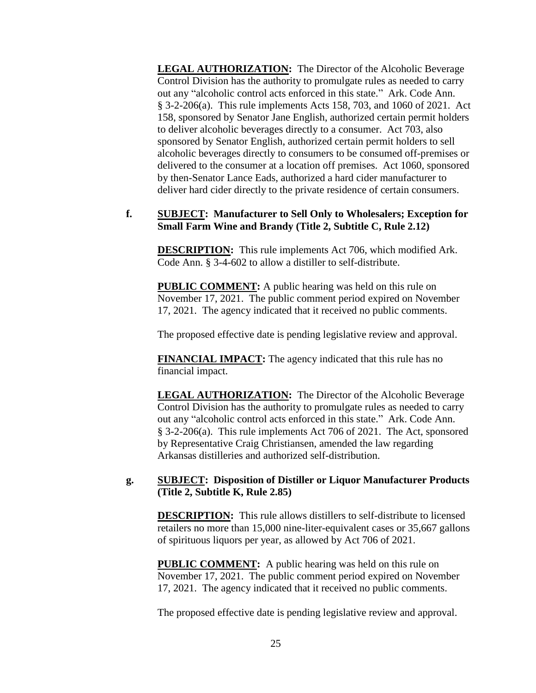**LEGAL AUTHORIZATION:** The Director of the Alcoholic Beverage Control Division has the authority to promulgate rules as needed to carry out any "alcoholic control acts enforced in this state." Ark. Code Ann. § 3-2-206(a). This rule implements Acts 158, 703, and 1060 of 2021. Act 158, sponsored by Senator Jane English, authorized certain permit holders to deliver alcoholic beverages directly to a consumer. Act 703, also sponsored by Senator English, authorized certain permit holders to sell alcoholic beverages directly to consumers to be consumed off-premises or delivered to the consumer at a location off premises. Act 1060, sponsored by then-Senator Lance Eads, authorized a hard cider manufacturer to deliver hard cider directly to the private residence of certain consumers.

#### **f. SUBJECT: Manufacturer to Sell Only to Wholesalers; Exception for Small Farm Wine and Brandy (Title 2, Subtitle C, Rule 2.12)**

**DESCRIPTION:** This rule implements Act 706, which modified Ark. Code Ann. § 3-4-602 to allow a distiller to self-distribute.

**PUBLIC COMMENT:** A public hearing was held on this rule on November 17, 2021. The public comment period expired on November 17, 2021. The agency indicated that it received no public comments.

The proposed effective date is pending legislative review and approval.

**FINANCIAL IMPACT:** The agency indicated that this rule has no financial impact.

**LEGAL AUTHORIZATION:** The Director of the Alcoholic Beverage Control Division has the authority to promulgate rules as needed to carry out any "alcoholic control acts enforced in this state." Ark. Code Ann. § 3-2-206(a). This rule implements Act 706 of 2021. The Act, sponsored by Representative Craig Christiansen, amended the law regarding Arkansas distilleries and authorized self-distribution.

# **g. SUBJECT: Disposition of Distiller or Liquor Manufacturer Products (Title 2, Subtitle K, Rule 2.85)**

**DESCRIPTION:** This rule allows distillers to self-distribute to licensed retailers no more than 15,000 nine-liter-equivalent cases or 35,667 gallons of spirituous liquors per year, as allowed by Act 706 of 2021.

**PUBLIC COMMENT:** A public hearing was held on this rule on November 17, 2021. The public comment period expired on November 17, 2021. The agency indicated that it received no public comments.

The proposed effective date is pending legislative review and approval.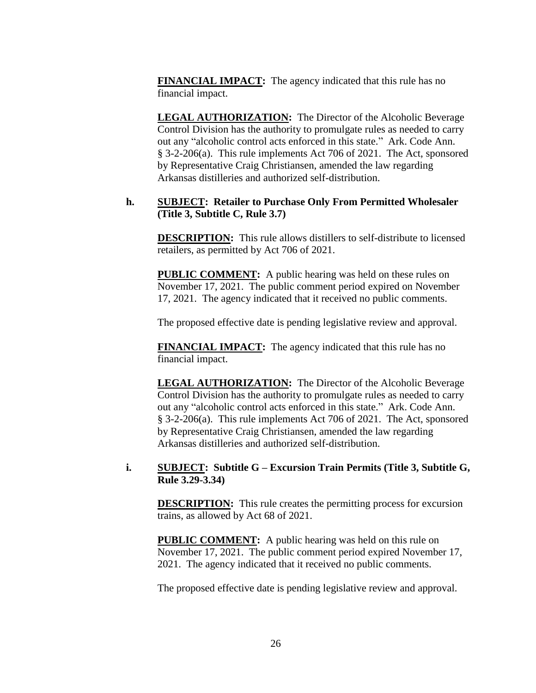**FINANCIAL IMPACT:** The agency indicated that this rule has no financial impact.

**LEGAL AUTHORIZATION:** The Director of the Alcoholic Beverage Control Division has the authority to promulgate rules as needed to carry out any "alcoholic control acts enforced in this state." Ark. Code Ann. § 3-2-206(a). This rule implements Act 706 of 2021. The Act, sponsored by Representative Craig Christiansen, amended the law regarding Arkansas distilleries and authorized self-distribution.

## **h. SUBJECT: Retailer to Purchase Only From Permitted Wholesaler (Title 3, Subtitle C, Rule 3.7)**

**DESCRIPTION:** This rule allows distillers to self-distribute to licensed retailers, as permitted by Act 706 of 2021.

**PUBLIC COMMENT:** A public hearing was held on these rules on November 17, 2021. The public comment period expired on November 17, 2021. The agency indicated that it received no public comments.

The proposed effective date is pending legislative review and approval.

**FINANCIAL IMPACT:** The agency indicated that this rule has no financial impact.

**LEGAL AUTHORIZATION:** The Director of the Alcoholic Beverage Control Division has the authority to promulgate rules as needed to carry out any "alcoholic control acts enforced in this state." Ark. Code Ann. § 3-2-206(a). This rule implements Act 706 of 2021. The Act, sponsored by Representative Craig Christiansen, amended the law regarding Arkansas distilleries and authorized self-distribution.

#### **i. SUBJECT: Subtitle G – Excursion Train Permits (Title 3, Subtitle G, Rule 3.29-3.34)**

**DESCRIPTION:** This rule creates the permitting process for excursion trains, as allowed by Act 68 of 2021.

**PUBLIC COMMENT:** A public hearing was held on this rule on November 17, 2021. The public comment period expired November 17, 2021. The agency indicated that it received no public comments.

The proposed effective date is pending legislative review and approval.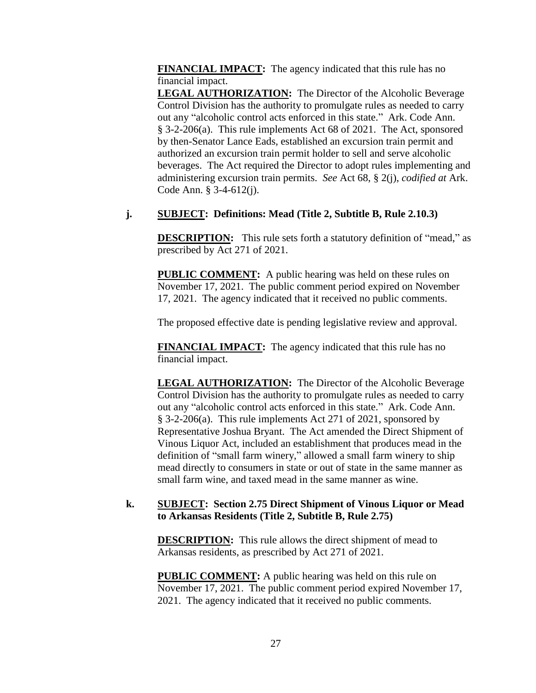**FINANCIAL IMPACT:** The agency indicated that this rule has no financial impact.

**LEGAL AUTHORIZATION:** The Director of the Alcoholic Beverage Control Division has the authority to promulgate rules as needed to carry out any "alcoholic control acts enforced in this state." Ark. Code Ann. § 3-2-206(a). This rule implements Act 68 of 2021. The Act, sponsored by then-Senator Lance Eads, established an excursion train permit and authorized an excursion train permit holder to sell and serve alcoholic beverages. The Act required the Director to adopt rules implementing and administering excursion train permits. *See* Act 68, § 2(j), *codified at* Ark. Code Ann. § 3-4-612(j).

### **j. SUBJECT: Definitions: Mead (Title 2, Subtitle B, Rule 2.10.3)**

**DESCRIPTION:** This rule sets forth a statutory definition of "mead," as prescribed by Act 271 of 2021.

**PUBLIC COMMENT:** A public hearing was held on these rules on November 17, 2021. The public comment period expired on November 17, 2021. The agency indicated that it received no public comments.

The proposed effective date is pending legislative review and approval.

**FINANCIAL IMPACT:** The agency indicated that this rule has no financial impact.

**LEGAL AUTHORIZATION:** The Director of the Alcoholic Beverage Control Division has the authority to promulgate rules as needed to carry out any "alcoholic control acts enforced in this state." Ark. Code Ann. § 3-2-206(a). This rule implements Act 271 of 2021, sponsored by Representative Joshua Bryant. The Act amended the Direct Shipment of Vinous Liquor Act, included an establishment that produces mead in the definition of "small farm winery," allowed a small farm winery to ship mead directly to consumers in state or out of state in the same manner as small farm wine, and taxed mead in the same manner as wine.

## **k. SUBJECT: Section 2.75 Direct Shipment of Vinous Liquor or Mead to Arkansas Residents (Title 2, Subtitle B, Rule 2.75)**

**DESCRIPTION:** This rule allows the direct shipment of mead to Arkansas residents, as prescribed by Act 271 of 2021.

**PUBLIC COMMENT:** A public hearing was held on this rule on November 17, 2021. The public comment period expired November 17, 2021. The agency indicated that it received no public comments.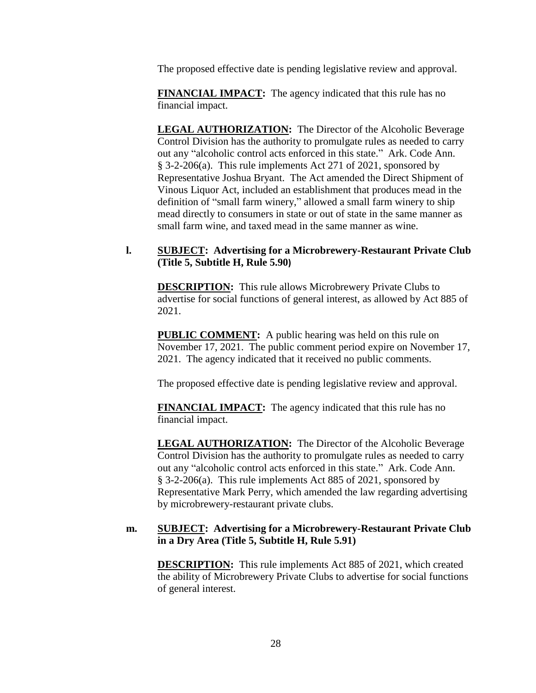The proposed effective date is pending legislative review and approval.

**FINANCIAL IMPACT:** The agency indicated that this rule has no financial impact.

**LEGAL AUTHORIZATION:** The Director of the Alcoholic Beverage Control Division has the authority to promulgate rules as needed to carry out any "alcoholic control acts enforced in this state." Ark. Code Ann. § 3-2-206(a). This rule implements Act 271 of 2021, sponsored by Representative Joshua Bryant. The Act amended the Direct Shipment of Vinous Liquor Act, included an establishment that produces mead in the definition of "small farm winery," allowed a small farm winery to ship mead directly to consumers in state or out of state in the same manner as small farm wine, and taxed mead in the same manner as wine.

## **l. SUBJECT: Advertising for a Microbrewery-Restaurant Private Club (Title 5, Subtitle H, Rule 5.90)**

**DESCRIPTION:** This rule allows Microbrewery Private Clubs to advertise for social functions of general interest, as allowed by Act 885 of 2021.

**PUBLIC COMMENT:** A public hearing was held on this rule on November 17, 2021. The public comment period expire on November 17, 2021. The agency indicated that it received no public comments.

The proposed effective date is pending legislative review and approval.

**FINANCIAL IMPACT:** The agency indicated that this rule has no financial impact.

**LEGAL AUTHORIZATION:** The Director of the Alcoholic Beverage Control Division has the authority to promulgate rules as needed to carry out any "alcoholic control acts enforced in this state." Ark. Code Ann. § 3-2-206(a). This rule implements Act 885 of 2021, sponsored by Representative Mark Perry, which amended the law regarding advertising by microbrewery-restaurant private clubs.

## **m. SUBJECT: Advertising for a Microbrewery-Restaurant Private Club in a Dry Area (Title 5, Subtitle H, Rule 5.91)**

**DESCRIPTION:** This rule implements Act 885 of 2021, which created the ability of Microbrewery Private Clubs to advertise for social functions of general interest.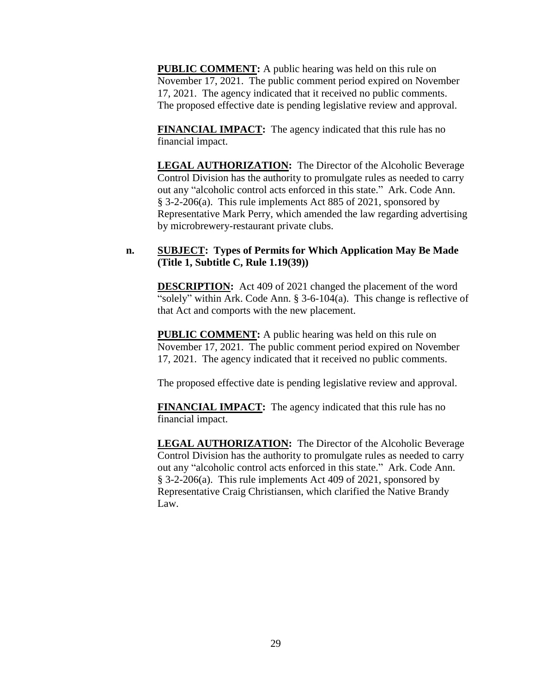**PUBLIC COMMENT:** A public hearing was held on this rule on November 17, 2021. The public comment period expired on November 17, 2021. The agency indicated that it received no public comments. The proposed effective date is pending legislative review and approval.

**FINANCIAL IMPACT:** The agency indicated that this rule has no financial impact.

**LEGAL AUTHORIZATION:** The Director of the Alcoholic Beverage Control Division has the authority to promulgate rules as needed to carry out any "alcoholic control acts enforced in this state." Ark. Code Ann. § 3-2-206(a). This rule implements Act 885 of 2021, sponsored by Representative Mark Perry, which amended the law regarding advertising by microbrewery-restaurant private clubs.

## **n. SUBJECT: Types of Permits for Which Application May Be Made (Title 1, Subtitle C, Rule 1.19(39))**

**DESCRIPTION:** Act 409 of 2021 changed the placement of the word "solely" within Ark. Code Ann. § 3-6-104(a). This change is reflective of that Act and comports with the new placement.

**PUBLIC COMMENT:** A public hearing was held on this rule on November 17, 2021. The public comment period expired on November 17, 2021. The agency indicated that it received no public comments.

The proposed effective date is pending legislative review and approval.

**FINANCIAL IMPACT:** The agency indicated that this rule has no financial impact.

**LEGAL AUTHORIZATION:** The Director of the Alcoholic Beverage Control Division has the authority to promulgate rules as needed to carry out any "alcoholic control acts enforced in this state." Ark. Code Ann. § 3-2-206(a). This rule implements Act 409 of 2021, sponsored by Representative Craig Christiansen, which clarified the Native Brandy Law.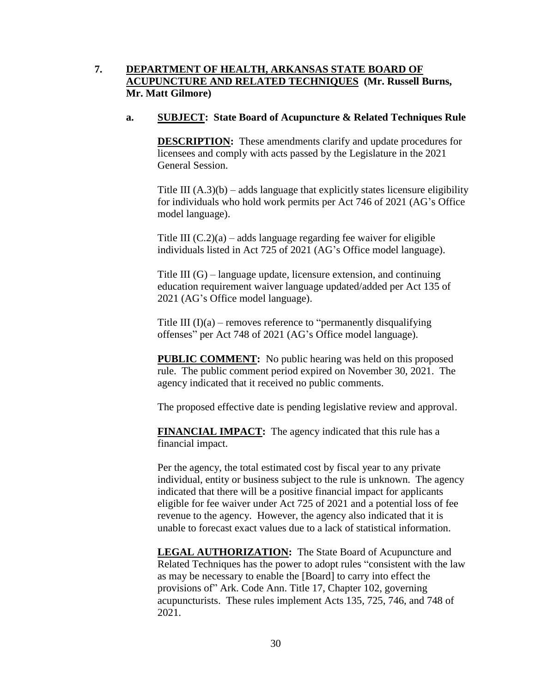## **7. DEPARTMENT OF HEALTH, ARKANSAS STATE BOARD OF ACUPUNCTURE AND RELATED TECHNIQUES (Mr. Russell Burns, Mr. Matt Gilmore)**

#### **a. SUBJECT: State Board of Acupuncture & Related Techniques Rule**

**DESCRIPTION:** These amendments clarify and update procedures for licensees and comply with acts passed by the Legislature in the 2021 General Session.

Title III  $(A.3)(b)$  – adds language that explicitly states licensure eligibility for individuals who hold work permits per Act 746 of 2021 (AG's Office model language).

Title III  $(C.2)(a)$  – adds language regarding fee waiver for eligible individuals listed in Act 725 of 2021 (AG's Office model language).

Title III (G) – language update, licensure extension, and continuing education requirement waiver language updated/added per Act 135 of 2021 (AG's Office model language).

Title III  $(I)(a)$  – removes reference to "permanently disqualifying offenses" per Act 748 of 2021 (AG's Office model language).

**PUBLIC COMMENT:** No public hearing was held on this proposed rule. The public comment period expired on November 30, 2021. The agency indicated that it received no public comments.

The proposed effective date is pending legislative review and approval.

**FINANCIAL IMPACT:** The agency indicated that this rule has a financial impact.

Per the agency, the total estimated cost by fiscal year to any private individual, entity or business subject to the rule is unknown. The agency indicated that there will be a positive financial impact for applicants eligible for fee waiver under Act 725 of 2021 and a potential loss of fee revenue to the agency. However, the agency also indicated that it is unable to forecast exact values due to a lack of statistical information.

**LEGAL AUTHORIZATION:** The State Board of Acupuncture and Related Techniques has the power to adopt rules "consistent with the law as may be necessary to enable the [Board] to carry into effect the provisions of" Ark. Code Ann. Title 17, Chapter 102, governing acupuncturists. These rules implement Acts 135, 725, 746, and 748 of 2021.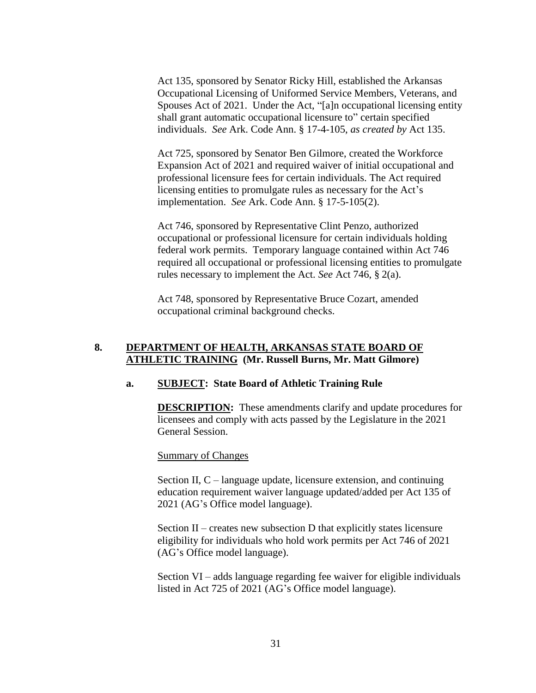Act 135, sponsored by Senator Ricky Hill, established the Arkansas Occupational Licensing of Uniformed Service Members, Veterans, and Spouses Act of 2021. Under the Act, "[a]n occupational licensing entity shall grant automatic occupational licensure to" certain specified individuals. *See* Ark. Code Ann. § 17-4-105, *as created by* Act 135.

Act 725, sponsored by Senator Ben Gilmore, created the Workforce Expansion Act of 2021 and required waiver of initial occupational and professional licensure fees for certain individuals. The Act required licensing entities to promulgate rules as necessary for the Act's implementation. *See* Ark. Code Ann. § 17-5-105(2).

Act 746, sponsored by Representative Clint Penzo, authorized occupational or professional licensure for certain individuals holding federal work permits. Temporary language contained within Act 746 required all occupational or professional licensing entities to promulgate rules necessary to implement the Act. *See* Act 746, § 2(a).

Act 748, sponsored by Representative Bruce Cozart, amended occupational criminal background checks.

### **8. DEPARTMENT OF HEALTH, ARKANSAS STATE BOARD OF ATHLETIC TRAINING (Mr. Russell Burns, Mr. Matt Gilmore)**

#### **a. SUBJECT: State Board of Athletic Training Rule**

**DESCRIPTION:** These amendments clarify and update procedures for licensees and comply with acts passed by the Legislature in the 2021 General Session.

Summary of Changes

Section II, C – language update, licensure extension, and continuing education requirement waiver language updated/added per Act 135 of 2021 (AG's Office model language).

Section II – creates new subsection D that explicitly states licensure eligibility for individuals who hold work permits per Act 746 of 2021 (AG's Office model language).

Section VI – adds language regarding fee waiver for eligible individuals listed in Act 725 of 2021 (AG's Office model language).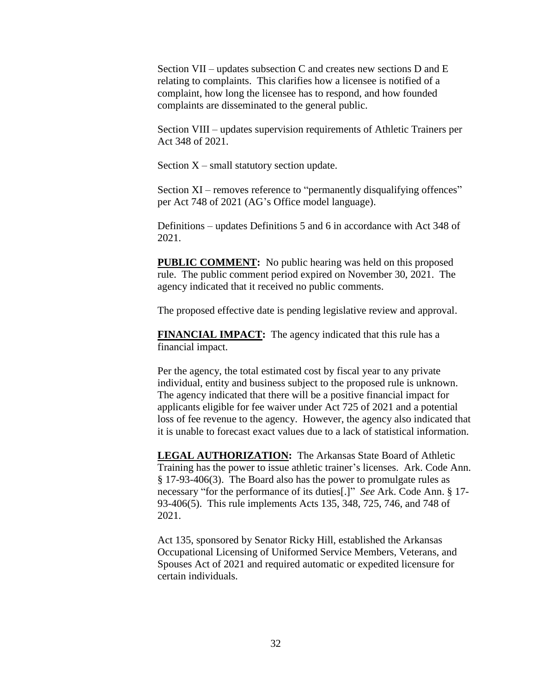Section VII – updates subsection C and creates new sections D and E relating to complaints. This clarifies how a licensee is notified of a complaint, how long the licensee has to respond, and how founded complaints are disseminated to the general public.

Section VIII – updates supervision requirements of Athletic Trainers per Act 348 of 2021.

Section  $X$  – small statutory section update.

Section XI – removes reference to "permanently disqualifying offences" per Act 748 of 2021 (AG's Office model language).

Definitions – updates Definitions 5 and 6 in accordance with Act 348 of 2021.

**PUBLIC COMMENT:** No public hearing was held on this proposed rule. The public comment period expired on November 30, 2021. The agency indicated that it received no public comments.

The proposed effective date is pending legislative review and approval.

**FINANCIAL IMPACT:** The agency indicated that this rule has a financial impact.

Per the agency, the total estimated cost by fiscal year to any private individual, entity and business subject to the proposed rule is unknown. The agency indicated that there will be a positive financial impact for applicants eligible for fee waiver under Act 725 of 2021 and a potential loss of fee revenue to the agency. However, the agency also indicated that it is unable to forecast exact values due to a lack of statistical information.

**LEGAL AUTHORIZATION:** The Arkansas State Board of Athletic Training has the power to issue athletic trainer's licenses. Ark. Code Ann. § 17-93-406(3). The Board also has the power to promulgate rules as necessary "for the performance of its duties[.]" *See* Ark. Code Ann. § 17- 93-406(5). This rule implements Acts 135, 348, 725, 746, and 748 of 2021.

Act 135, sponsored by Senator Ricky Hill, established the Arkansas Occupational Licensing of Uniformed Service Members, Veterans, and Spouses Act of 2021 and required automatic or expedited licensure for certain individuals.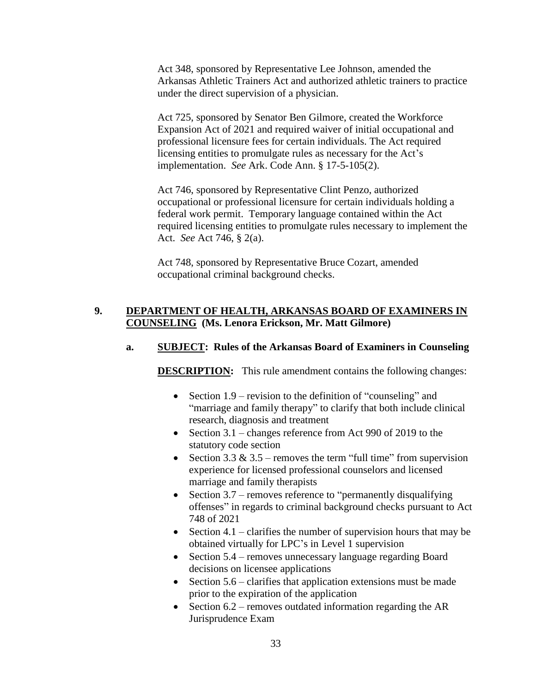Act 348, sponsored by Representative Lee Johnson, amended the Arkansas Athletic Trainers Act and authorized athletic trainers to practice under the direct supervision of a physician.

Act 725, sponsored by Senator Ben Gilmore, created the Workforce Expansion Act of 2021 and required waiver of initial occupational and professional licensure fees for certain individuals. The Act required licensing entities to promulgate rules as necessary for the Act's implementation. *See* Ark. Code Ann. § 17-5-105(2).

Act 746, sponsored by Representative Clint Penzo, authorized occupational or professional licensure for certain individuals holding a federal work permit. Temporary language contained within the Act required licensing entities to promulgate rules necessary to implement the Act. *See* Act 746, § 2(a).

Act 748, sponsored by Representative Bruce Cozart, amended occupational criminal background checks.

## **9. DEPARTMENT OF HEALTH, ARKANSAS BOARD OF EXAMINERS IN COUNSELING (Ms. Lenora Erickson, Mr. Matt Gilmore)**

#### **a. SUBJECT: Rules of the Arkansas Board of Examiners in Counseling**

**DESCRIPTION:** This rule amendment contains the following changes:

- Section 1.9 revision to the definition of "counseling" and "marriage and family therapy" to clarify that both include clinical research, diagnosis and treatment
- Section  $3.1$  changes reference from Act 990 of 2019 to the statutory code section
- Section 3.3 & 3.5 removes the term "full time" from supervision experience for licensed professional counselors and licensed marriage and family therapists
- Section 3.7 removes reference to "permanently disqualifying offenses" in regards to criminal background checks pursuant to Act 748 of 2021
- Section 4.1 clarifies the number of supervision hours that may be obtained virtually for LPC's in Level 1 supervision
- Section 5.4 removes unnecessary language regarding Board decisions on licensee applications
- Section  $5.6$  clarifies that application extensions must be made prior to the expiration of the application
- Section  $6.2$  removes outdated information regarding the AR Jurisprudence Exam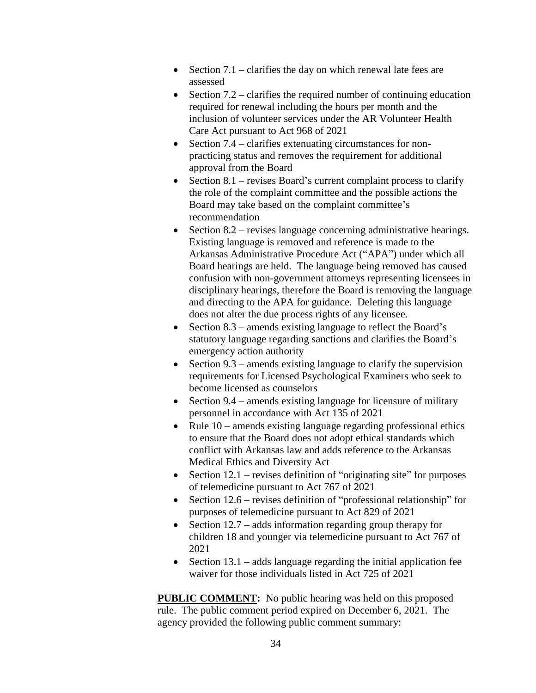- Section  $7.1$  clarifies the day on which renewal late fees are assessed
- Section  $7.2$  clarifies the required number of continuing education required for renewal including the hours per month and the inclusion of volunteer services under the AR Volunteer Health Care Act pursuant to Act 968 of 2021
- $\bullet$  Section 7.4 clarifies extenuating circumstances for nonpracticing status and removes the requirement for additional approval from the Board
- Section  $8.1$  revises Board's current complaint process to clarify the role of the complaint committee and the possible actions the Board may take based on the complaint committee's recommendation
- Section  $8.2$  revises language concerning administrative hearings. Existing language is removed and reference is made to the Arkansas Administrative Procedure Act ("APA") under which all Board hearings are held. The language being removed has caused confusion with non-government attorneys representing licensees in disciplinary hearings, therefore the Board is removing the language and directing to the APA for guidance. Deleting this language does not alter the due process rights of any licensee.
- Section  $8.3$  amends existing language to reflect the Board's statutory language regarding sanctions and clarifies the Board's emergency action authority
- Section  $9.3$  amends existing language to clarify the supervision requirements for Licensed Psychological Examiners who seek to become licensed as counselors
- Section  $9.4$  amends existing language for licensure of military personnel in accordance with Act 135 of 2021
- Rule  $10$  amends existing language regarding professional ethics to ensure that the Board does not adopt ethical standards which conflict with Arkansas law and adds reference to the Arkansas Medical Ethics and Diversity Act
- Section  $12.1$  revises definition of "originating site" for purposes of telemedicine pursuant to Act 767 of 2021
- Section  $12.6$  revises definition of "professional relationship" for purposes of telemedicine pursuant to Act 829 of 2021
- Section  $12.7$  adds information regarding group therapy for children 18 and younger via telemedicine pursuant to Act 767 of 2021
- Section  $13.1$  adds language regarding the initial application fee waiver for those individuals listed in Act 725 of 2021

**PUBLIC COMMENT:** No public hearing was held on this proposed rule. The public comment period expired on December 6, 2021. The agency provided the following public comment summary: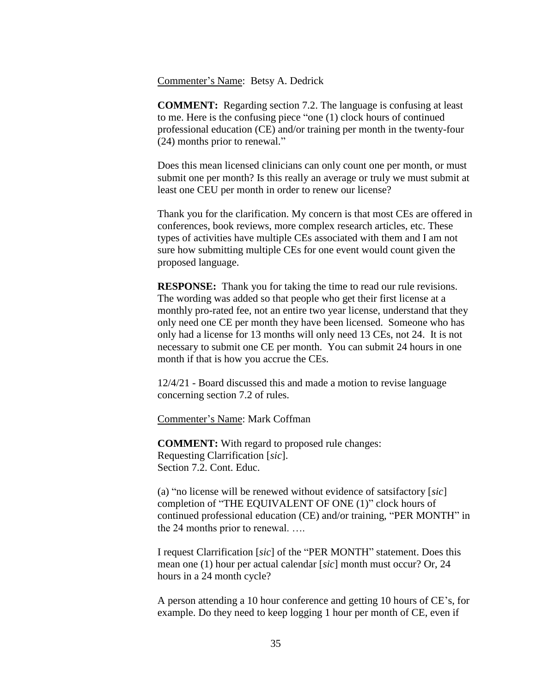Commenter's Name: Betsy A. Dedrick

**COMMENT:** Regarding section 7.2. The language is confusing at least to me. Here is the confusing piece "one (1) clock hours of continued professional education (CE) and/or training per month in the twenty-four (24) months prior to renewal."

Does this mean licensed clinicians can only count one per month, or must submit one per month? Is this really an average or truly we must submit at least one CEU per month in order to renew our license?

Thank you for the clarification. My concern is that most CEs are offered in conferences, book reviews, more complex research articles, etc. These types of activities have multiple CEs associated with them and I am not sure how submitting multiple CEs for one event would count given the proposed language.

**RESPONSE:** Thank you for taking the time to read our rule revisions. The wording was added so that people who get their first license at a monthly pro-rated fee, not an entire two year license, understand that they only need one CE per month they have been licensed. Someone who has only had a license for 13 months will only need 13 CEs, not 24. It is not necessary to submit one CE per month. You can submit 24 hours in one month if that is how you accrue the CEs.

12/4/21 - Board discussed this and made a motion to revise language concerning section 7.2 of rules.

Commenter's Name: Mark Coffman

**COMMENT:** With regard to proposed rule changes: Requesting Clarrification [*sic*]. Section 7.2. Cont. Educ.

(a) "no license will be renewed without evidence of satsifactory [*sic*] completion of "THE EQUIVALENT OF ONE (1)" clock hours of continued professional education (CE) and/or training, "PER MONTH" in the 24 months prior to renewal. ….

I request Clarrification [*sic*] of the "PER MONTH" statement. Does this mean one (1) hour per actual calendar [*sic*] month must occur? Or, 24 hours in a 24 month cycle?

A person attending a 10 hour conference and getting 10 hours of CE's, for example. Do they need to keep logging 1 hour per month of CE, even if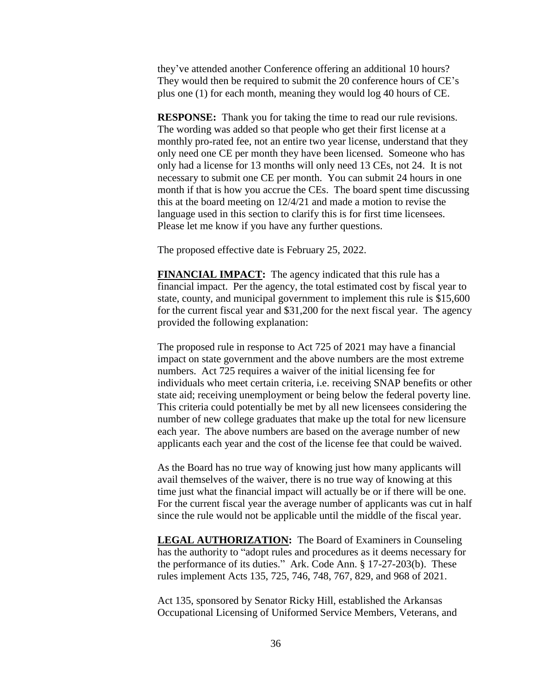they've attended another Conference offering an additional 10 hours? They would then be required to submit the 20 conference hours of CE's plus one (1) for each month, meaning they would log 40 hours of CE.

**RESPONSE:** Thank you for taking the time to read our rule revisions. The wording was added so that people who get their first license at a monthly pro-rated fee, not an entire two year license, understand that they only need one CE per month they have been licensed. Someone who has only had a license for 13 months will only need 13 CEs, not 24. It is not necessary to submit one CE per month. You can submit 24 hours in one month if that is how you accrue the CEs. The board spent time discussing this at the board meeting on 12/4/21 and made a motion to revise the language used in this section to clarify this is for first time licensees. Please let me know if you have any further questions.

The proposed effective date is February 25, 2022.

**FINANCIAL IMPACT:** The agency indicated that this rule has a financial impact. Per the agency, the total estimated cost by fiscal year to state, county, and municipal government to implement this rule is \$15,600 for the current fiscal year and \$31,200 for the next fiscal year. The agency provided the following explanation:

The proposed rule in response to Act 725 of 2021 may have a financial impact on state government and the above numbers are the most extreme numbers. Act 725 requires a waiver of the initial licensing fee for individuals who meet certain criteria, i.e. receiving SNAP benefits or other state aid; receiving unemployment or being below the federal poverty line. This criteria could potentially be met by all new licensees considering the number of new college graduates that make up the total for new licensure each year. The above numbers are based on the average number of new applicants each year and the cost of the license fee that could be waived.

As the Board has no true way of knowing just how many applicants will avail themselves of the waiver, there is no true way of knowing at this time just what the financial impact will actually be or if there will be one. For the current fiscal year the average number of applicants was cut in half since the rule would not be applicable until the middle of the fiscal year.

**LEGAL AUTHORIZATION:** The Board of Examiners in Counseling has the authority to "adopt rules and procedures as it deems necessary for the performance of its duties." Ark. Code Ann. § 17-27-203(b). These rules implement Acts 135, 725, 746, 748, 767, 829, and 968 of 2021.

Act 135, sponsored by Senator Ricky Hill, established the Arkansas Occupational Licensing of Uniformed Service Members, Veterans, and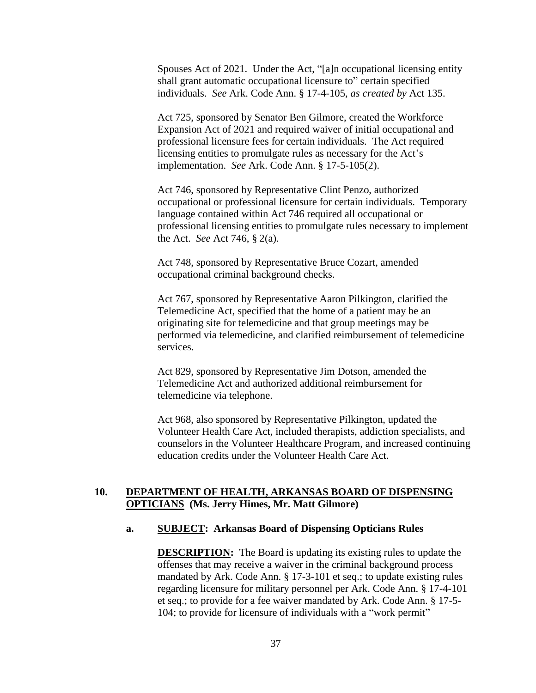Spouses Act of 2021. Under the Act, "[a]n occupational licensing entity shall grant automatic occupational licensure to" certain specified individuals. *See* Ark. Code Ann. § 17-4-105, *as created by* Act 135.

Act 725, sponsored by Senator Ben Gilmore, created the Workforce Expansion Act of 2021 and required waiver of initial occupational and professional licensure fees for certain individuals. The Act required licensing entities to promulgate rules as necessary for the Act's implementation. *See* Ark. Code Ann. § 17-5-105(2).

Act 746, sponsored by Representative Clint Penzo, authorized occupational or professional licensure for certain individuals. Temporary language contained within Act 746 required all occupational or professional licensing entities to promulgate rules necessary to implement the Act. *See* Act 746, § 2(a).

Act 748, sponsored by Representative Bruce Cozart, amended occupational criminal background checks.

Act 767, sponsored by Representative Aaron Pilkington, clarified the Telemedicine Act, specified that the home of a patient may be an originating site for telemedicine and that group meetings may be performed via telemedicine, and clarified reimbursement of telemedicine services.

Act 829, sponsored by Representative Jim Dotson, amended the Telemedicine Act and authorized additional reimbursement for telemedicine via telephone.

Act 968, also sponsored by Representative Pilkington, updated the Volunteer Health Care Act, included therapists, addiction specialists, and counselors in the Volunteer Healthcare Program, and increased continuing education credits under the Volunteer Health Care Act.

### **10. DEPARTMENT OF HEALTH, ARKANSAS BOARD OF DISPENSING OPTICIANS (Ms. Jerry Himes, Mr. Matt Gilmore)**

#### **a. SUBJECT: Arkansas Board of Dispensing Opticians Rules**

**DESCRIPTION:** The Board is updating its existing rules to update the offenses that may receive a waiver in the criminal background process mandated by Ark. Code Ann. § 17-3-101 et seq.; to update existing rules regarding licensure for military personnel per Ark. Code Ann. § 17-4-101 et seq.; to provide for a fee waiver mandated by Ark. Code Ann. § 17-5- 104; to provide for licensure of individuals with a "work permit"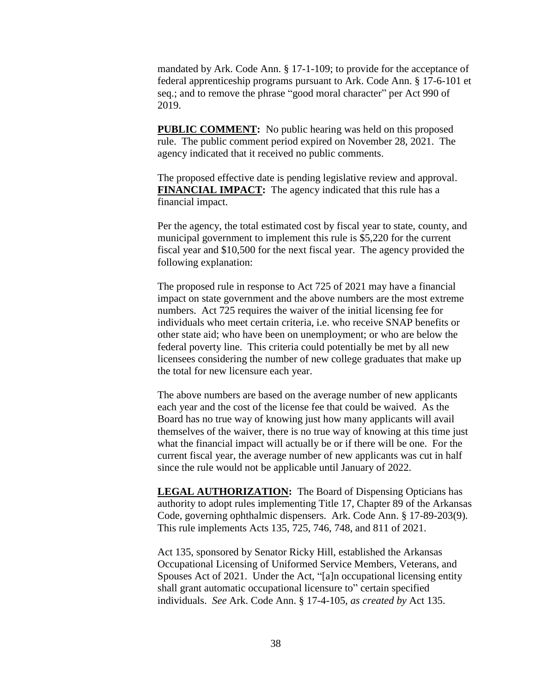mandated by Ark. Code Ann. § 17-1-109; to provide for the acceptance of federal apprenticeship programs pursuant to Ark. Code Ann. § 17-6-101 et seq.; and to remove the phrase "good moral character" per Act 990 of 2019.

**PUBLIC COMMENT:** No public hearing was held on this proposed rule. The public comment period expired on November 28, 2021. The agency indicated that it received no public comments.

The proposed effective date is pending legislative review and approval. **FINANCIAL IMPACT:** The agency indicated that this rule has a financial impact.

Per the agency, the total estimated cost by fiscal year to state, county, and municipal government to implement this rule is \$5,220 for the current fiscal year and \$10,500 for the next fiscal year. The agency provided the following explanation:

The proposed rule in response to Act 725 of 2021 may have a financial impact on state government and the above numbers are the most extreme numbers. Act 725 requires the waiver of the initial licensing fee for individuals who meet certain criteria, i.e. who receive SNAP benefits or other state aid; who have been on unemployment; or who are below the federal poverty line. This criteria could potentially be met by all new licensees considering the number of new college graduates that make up the total for new licensure each year.

The above numbers are based on the average number of new applicants each year and the cost of the license fee that could be waived. As the Board has no true way of knowing just how many applicants will avail themselves of the waiver, there is no true way of knowing at this time just what the financial impact will actually be or if there will be one. For the current fiscal year, the average number of new applicants was cut in half since the rule would not be applicable until January of 2022.

**LEGAL AUTHORIZATION:** The Board of Dispensing Opticians has authority to adopt rules implementing Title 17, Chapter 89 of the Arkansas Code, governing ophthalmic dispensers. Ark. Code Ann. § 17-89-203(9). This rule implements Acts 135, 725, 746, 748, and 811 of 2021.

Act 135, sponsored by Senator Ricky Hill, established the Arkansas Occupational Licensing of Uniformed Service Members, Veterans, and Spouses Act of 2021. Under the Act, "[a]n occupational licensing entity shall grant automatic occupational licensure to" certain specified individuals. *See* Ark. Code Ann. § 17-4-105, *as created by* Act 135.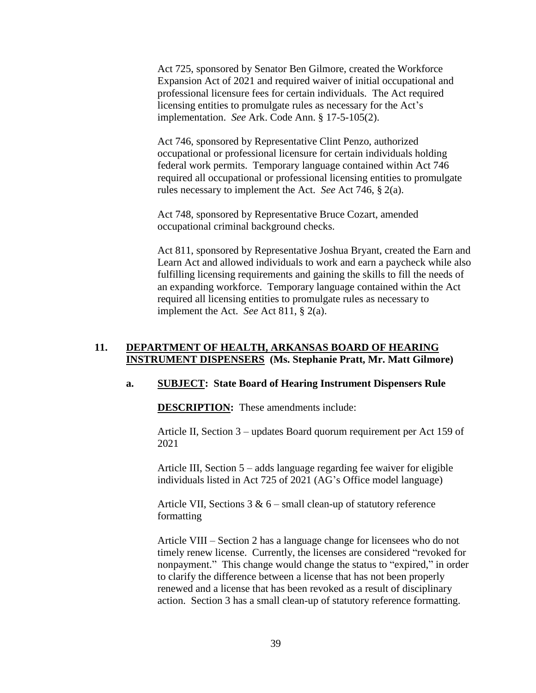Act 725, sponsored by Senator Ben Gilmore, created the Workforce Expansion Act of 2021 and required waiver of initial occupational and professional licensure fees for certain individuals. The Act required licensing entities to promulgate rules as necessary for the Act's implementation. *See* Ark. Code Ann. § 17-5-105(2).

Act 746, sponsored by Representative Clint Penzo, authorized occupational or professional licensure for certain individuals holding federal work permits. Temporary language contained within Act 746 required all occupational or professional licensing entities to promulgate rules necessary to implement the Act. *See* Act 746, § 2(a).

Act 748, sponsored by Representative Bruce Cozart, amended occupational criminal background checks.

Act 811, sponsored by Representative Joshua Bryant, created the Earn and Learn Act and allowed individuals to work and earn a paycheck while also fulfilling licensing requirements and gaining the skills to fill the needs of an expanding workforce. Temporary language contained within the Act required all licensing entities to promulgate rules as necessary to implement the Act. *See* Act 811, § 2(a).

## **11. DEPARTMENT OF HEALTH, ARKANSAS BOARD OF HEARING INSTRUMENT DISPENSERS (Ms. Stephanie Pratt, Mr. Matt Gilmore)**

#### **a. SUBJECT: State Board of Hearing Instrument Dispensers Rule**

**DESCRIPTION:** These amendments include:

Article II, Section 3 – updates Board quorum requirement per Act 159 of 2021

Article III, Section 5 – adds language regarding fee waiver for eligible individuals listed in Act 725 of 2021 (AG's Office model language)

Article VII, Sections  $3 & 6$  – small clean-up of statutory reference formatting

Article VIII – Section 2 has a language change for licensees who do not timely renew license. Currently, the licenses are considered "revoked for nonpayment." This change would change the status to "expired," in order to clarify the difference between a license that has not been properly renewed and a license that has been revoked as a result of disciplinary action. Section 3 has a small clean-up of statutory reference formatting.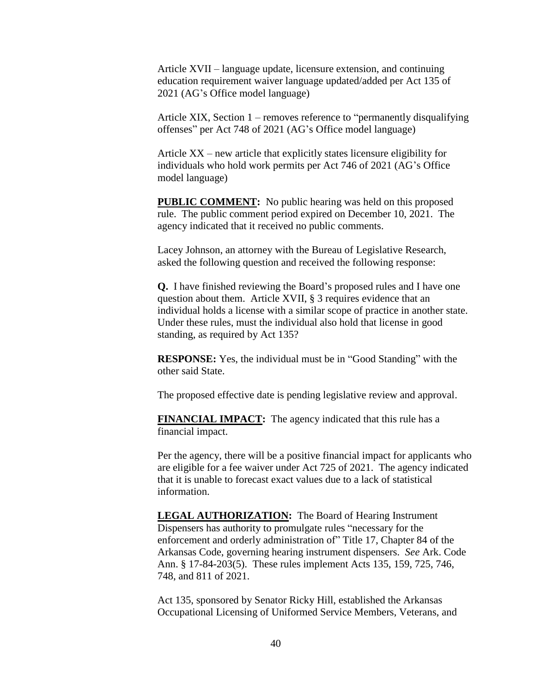Article XVII – language update, licensure extension, and continuing education requirement waiver language updated/added per Act 135 of 2021 (AG's Office model language)

Article XIX, Section 1 – removes reference to "permanently disqualifying offenses" per Act 748 of 2021 (AG's Office model language)

Article XX – new article that explicitly states licensure eligibility for individuals who hold work permits per Act 746 of 2021 (AG's Office model language)

**PUBLIC COMMENT:** No public hearing was held on this proposed rule. The public comment period expired on December 10, 2021. The agency indicated that it received no public comments.

Lacey Johnson, an attorney with the Bureau of Legislative Research, asked the following question and received the following response:

**Q.** I have finished reviewing the Board's proposed rules and I have one question about them. Article XVII, § 3 requires evidence that an individual holds a license with a similar scope of practice in another state. Under these rules, must the individual also hold that license in good standing, as required by Act 135?

**RESPONSE:** Yes, the individual must be in "Good Standing" with the other said State.

The proposed effective date is pending legislative review and approval.

**FINANCIAL IMPACT:** The agency indicated that this rule has a financial impact.

Per the agency, there will be a positive financial impact for applicants who are eligible for a fee waiver under Act 725 of 2021. The agency indicated that it is unable to forecast exact values due to a lack of statistical information.

**LEGAL AUTHORIZATION:** The Board of Hearing Instrument Dispensers has authority to promulgate rules "necessary for the enforcement and orderly administration of" Title 17, Chapter 84 of the Arkansas Code, governing hearing instrument dispensers. *See* Ark. Code Ann. § 17-84-203(5). These rules implement Acts 135, 159, 725, 746, 748, and 811 of 2021.

Act 135, sponsored by Senator Ricky Hill, established the Arkansas Occupational Licensing of Uniformed Service Members, Veterans, and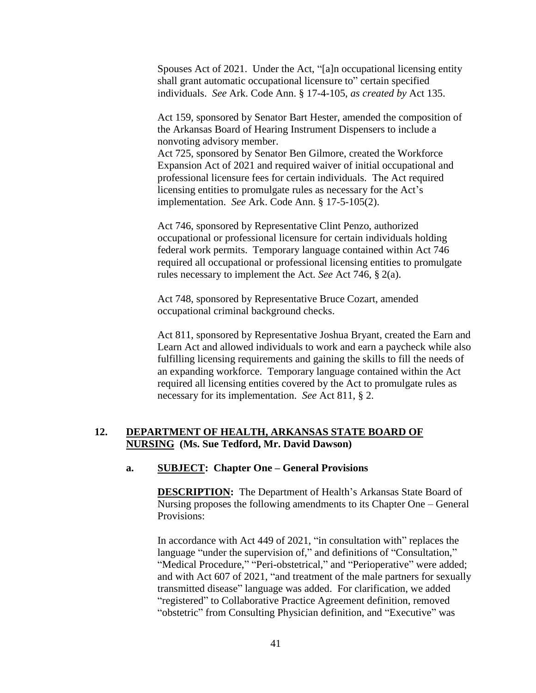Spouses Act of 2021. Under the Act, "[a]n occupational licensing entity shall grant automatic occupational licensure to" certain specified individuals. *See* Ark. Code Ann. § 17-4-105, *as created by* Act 135.

Act 159, sponsored by Senator Bart Hester, amended the composition of the Arkansas Board of Hearing Instrument Dispensers to include a nonvoting advisory member.

Act 725, sponsored by Senator Ben Gilmore, created the Workforce Expansion Act of 2021 and required waiver of initial occupational and professional licensure fees for certain individuals. The Act required licensing entities to promulgate rules as necessary for the Act's implementation. *See* Ark. Code Ann. § 17-5-105(2).

Act 746, sponsored by Representative Clint Penzo, authorized occupational or professional licensure for certain individuals holding federal work permits. Temporary language contained within Act 746 required all occupational or professional licensing entities to promulgate rules necessary to implement the Act. *See* Act 746, § 2(a).

Act 748, sponsored by Representative Bruce Cozart, amended occupational criminal background checks.

Act 811, sponsored by Representative Joshua Bryant, created the Earn and Learn Act and allowed individuals to work and earn a paycheck while also fulfilling licensing requirements and gaining the skills to fill the needs of an expanding workforce. Temporary language contained within the Act required all licensing entities covered by the Act to promulgate rules as necessary for its implementation. *See* Act 811, § 2.

## **12. DEPARTMENT OF HEALTH, ARKANSAS STATE BOARD OF NURSING (Ms. Sue Tedford, Mr. David Dawson)**

#### **a. SUBJECT: Chapter One – General Provisions**

**DESCRIPTION:** The Department of Health's Arkansas State Board of Nursing proposes the following amendments to its Chapter One – General Provisions:

In accordance with Act 449 of 2021, "in consultation with" replaces the language "under the supervision of," and definitions of "Consultation," "Medical Procedure," "Peri-obstetrical," and "Perioperative" were added; and with Act 607 of 2021, "and treatment of the male partners for sexually transmitted disease" language was added. For clarification, we added "registered" to Collaborative Practice Agreement definition, removed "obstetric" from Consulting Physician definition, and "Executive" was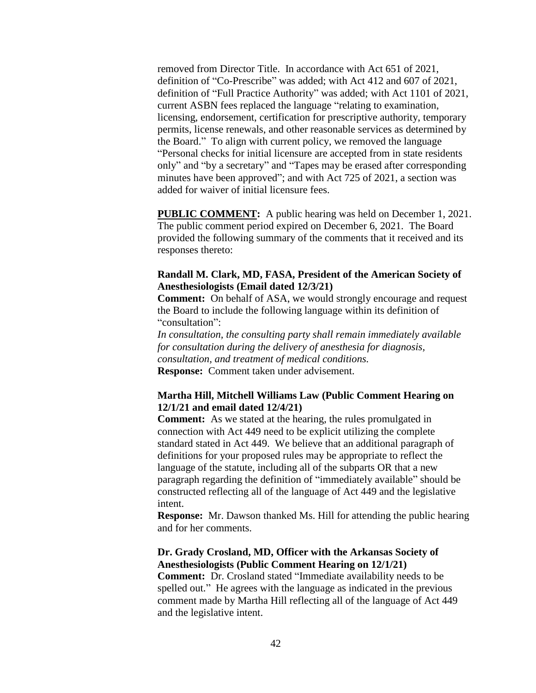removed from Director Title. In accordance with Act 651 of 2021, definition of "Co-Prescribe" was added; with Act 412 and 607 of 2021, definition of "Full Practice Authority" was added; with Act 1101 of 2021, current ASBN fees replaced the language "relating to examination, licensing, endorsement, certification for prescriptive authority, temporary permits, license renewals, and other reasonable services as determined by the Board." To align with current policy, we removed the language "Personal checks for initial licensure are accepted from in state residents only" and "by a secretary" and "Tapes may be erased after corresponding minutes have been approved"; and with Act 725 of 2021, a section was added for waiver of initial licensure fees.

**PUBLIC COMMENT:** A public hearing was held on December 1, 2021. The public comment period expired on December 6, 2021. The Board provided the following summary of the comments that it received and its responses thereto:

#### **Randall M. Clark, MD, FASA, President of the American Society of Anesthesiologists (Email dated 12/3/21)**

**Comment:** On behalf of ASA, we would strongly encourage and request the Board to include the following language within its definition of "consultation":

*In consultation, the consulting party shall remain immediately available for consultation during the delivery of anesthesia for diagnosis, consultation, and treatment of medical conditions.* **Response:** Comment taken under advisement.

#### **Martha Hill, Mitchell Williams Law (Public Comment Hearing on 12/1/21 and email dated 12/4/21)**

**Comment:** As we stated at the hearing, the rules promulgated in connection with Act 449 need to be explicit utilizing the complete standard stated in Act 449. We believe that an additional paragraph of definitions for your proposed rules may be appropriate to reflect the language of the statute, including all of the subparts OR that a new paragraph regarding the definition of "immediately available" should be constructed reflecting all of the language of Act 449 and the legislative intent.

**Response:** Mr. Dawson thanked Ms. Hill for attending the public hearing and for her comments.

#### **Dr. Grady Crosland, MD, Officer with the Arkansas Society of Anesthesiologists (Public Comment Hearing on 12/1/21)**

**Comment:** Dr. Crosland stated "Immediate availability needs to be spelled out." He agrees with the language as indicated in the previous comment made by Martha Hill reflecting all of the language of Act 449 and the legislative intent.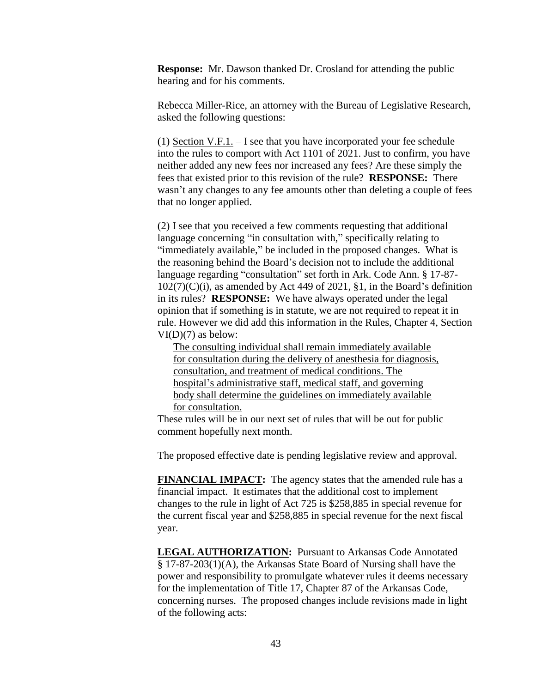**Response:** Mr. Dawson thanked Dr. Crosland for attending the public hearing and for his comments.

Rebecca Miller-Rice, an attorney with the Bureau of Legislative Research, asked the following questions:

(1) Section V.F.1. – I see that you have incorporated your fee schedule into the rules to comport with Act 1101 of 2021. Just to confirm, you have neither added any new fees nor increased any fees? Are these simply the fees that existed prior to this revision of the rule? **RESPONSE:** There wasn't any changes to any fee amounts other than deleting a couple of fees that no longer applied.

(2) I see that you received a few comments requesting that additional language concerning "in consultation with," specifically relating to "immediately available," be included in the proposed changes. What is the reasoning behind the Board's decision not to include the additional language regarding "consultation" set forth in Ark. Code Ann. § 17-87-  $102(7)(C)(i)$ , as amended by Act 449 of 2021, §1, in the Board's definition in its rules? **RESPONSE:** We have always operated under the legal opinion that if something is in statute, we are not required to repeat it in rule. However we did add this information in the Rules, Chapter 4, Section  $VI(D)(7)$  as below:

The consulting individual shall remain immediately available for consultation during the delivery of anesthesia for diagnosis, consultation, and treatment of medical conditions. The hospital's administrative staff, medical staff, and governing body shall determine the guidelines on immediately available for consultation.

These rules will be in our next set of rules that will be out for public comment hopefully next month.

The proposed effective date is pending legislative review and approval.

**FINANCIAL IMPACT:** The agency states that the amended rule has a financial impact. It estimates that the additional cost to implement changes to the rule in light of Act 725 is \$258,885 in special revenue for the current fiscal year and \$258,885 in special revenue for the next fiscal year.

**LEGAL AUTHORIZATION:** Pursuant to Arkansas Code Annotated § 17-87-203(1)(A), the Arkansas State Board of Nursing shall have the power and responsibility to promulgate whatever rules it deems necessary for the implementation of Title 17, Chapter 87 of the Arkansas Code, concerning nurses. The proposed changes include revisions made in light of the following acts: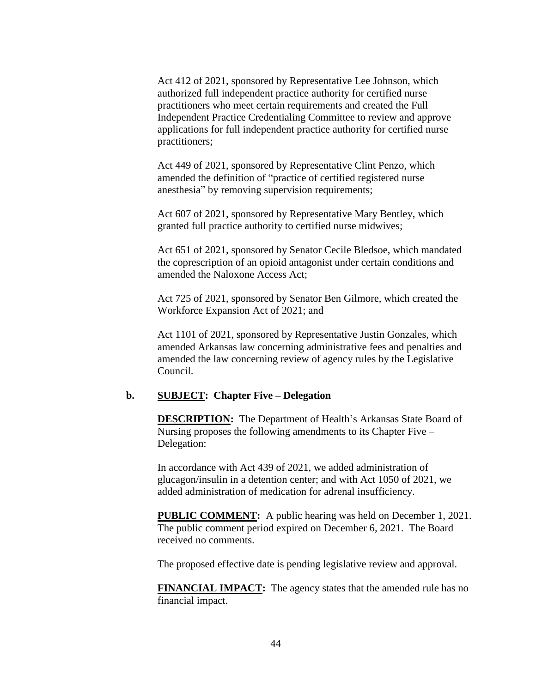Act 412 of 2021, sponsored by Representative Lee Johnson, which authorized full independent practice authority for certified nurse practitioners who meet certain requirements and created the Full Independent Practice Credentialing Committee to review and approve applications for full independent practice authority for certified nurse practitioners;

Act 449 of 2021, sponsored by Representative Clint Penzo, which amended the definition of "practice of certified registered nurse anesthesia" by removing supervision requirements;

Act 607 of 2021, sponsored by Representative Mary Bentley, which granted full practice authority to certified nurse midwives;

Act 651 of 2021, sponsored by Senator Cecile Bledsoe, which mandated the coprescription of an opioid antagonist under certain conditions and amended the Naloxone Access Act;

Act 725 of 2021, sponsored by Senator Ben Gilmore, which created the Workforce Expansion Act of 2021; and

Act 1101 of 2021, sponsored by Representative Justin Gonzales, which amended Arkansas law concerning administrative fees and penalties and amended the law concerning review of agency rules by the Legislative Council.

#### **b. SUBJECT: Chapter Five – Delegation**

**DESCRIPTION:** The Department of Health's Arkansas State Board of Nursing proposes the following amendments to its Chapter Five – Delegation:

In accordance with Act 439 of 2021, we added administration of glucagon/insulin in a detention center; and with Act 1050 of 2021, we added administration of medication for adrenal insufficiency.

**PUBLIC COMMENT:** A public hearing was held on December 1, 2021. The public comment period expired on December 6, 2021. The Board received no comments.

The proposed effective date is pending legislative review and approval.

**FINANCIAL IMPACT:** The agency states that the amended rule has no financial impact.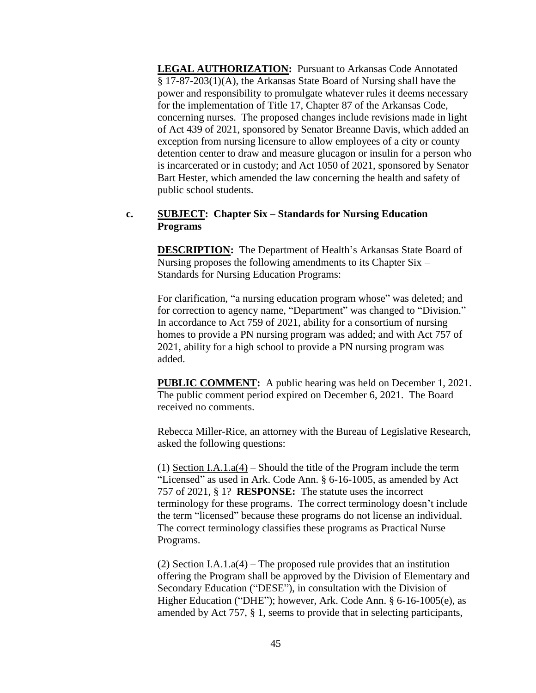**LEGAL AUTHORIZATION:** Pursuant to Arkansas Code Annotated § 17-87-203(1)(A), the Arkansas State Board of Nursing shall have the power and responsibility to promulgate whatever rules it deems necessary for the implementation of Title 17, Chapter 87 of the Arkansas Code, concerning nurses. The proposed changes include revisions made in light of Act 439 of 2021, sponsored by Senator Breanne Davis, which added an exception from nursing licensure to allow employees of a city or county detention center to draw and measure glucagon or insulin for a person who is incarcerated or in custody; and Act 1050 of 2021, sponsored by Senator Bart Hester, which amended the law concerning the health and safety of public school students.

#### **c. SUBJECT: Chapter Six – Standards for Nursing Education Programs**

**DESCRIPTION:** The Department of Health's Arkansas State Board of Nursing proposes the following amendments to its Chapter Six – Standards for Nursing Education Programs:

For clarification, "a nursing education program whose" was deleted; and for correction to agency name, "Department" was changed to "Division." In accordance to Act 759 of 2021, ability for a consortium of nursing homes to provide a PN nursing program was added; and with Act 757 of 2021, ability for a high school to provide a PN nursing program was added.

**PUBLIC COMMENT:** A public hearing was held on December 1, 2021. The public comment period expired on December 6, 2021. The Board received no comments.

Rebecca Miller-Rice, an attorney with the Bureau of Legislative Research, asked the following questions:

(1) Section I.A.1.a(4) – Should the title of the Program include the term "Licensed" as used in Ark. Code Ann. § 6-16-1005, as amended by Act 757 of 2021, § 1? **RESPONSE:** The statute uses the incorrect terminology for these programs. The correct terminology doesn't include the term "licensed" because these programs do not license an individual. The correct terminology classifies these programs as Practical Nurse Programs.

(2) Section I.A.1.a(4) – The proposed rule provides that an institution offering the Program shall be approved by the Division of Elementary and Secondary Education ("DESE"), in consultation with the Division of Higher Education ("DHE"); however, Ark. Code Ann. § 6-16-1005(e), as amended by Act 757, § 1, seems to provide that in selecting participants,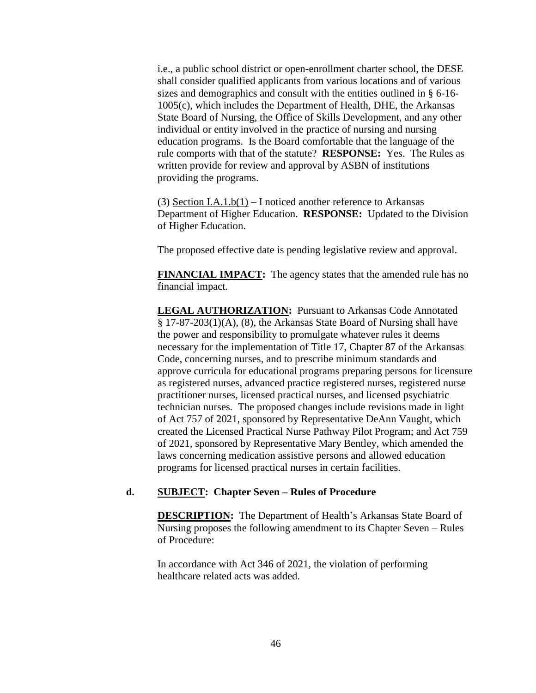i.e., a public school district or open-enrollment charter school, the DESE shall consider qualified applicants from various locations and of various sizes and demographics and consult with the entities outlined in § 6-16- 1005(c), which includes the Department of Health, DHE, the Arkansas State Board of Nursing, the Office of Skills Development, and any other individual or entity involved in the practice of nursing and nursing education programs. Is the Board comfortable that the language of the rule comports with that of the statute? **RESPONSE:** Yes. The Rules as written provide for review and approval by ASBN of institutions providing the programs.

(3) Section I.A.1.b(1) – I noticed another reference to Arkansas Department of Higher Education. **RESPONSE:** Updated to the Division of Higher Education.

The proposed effective date is pending legislative review and approval.

**FINANCIAL IMPACT:** The agency states that the amended rule has no financial impact.

**LEGAL AUTHORIZATION:** Pursuant to Arkansas Code Annotated § 17-87-203(1)(A), (8), the Arkansas State Board of Nursing shall have the power and responsibility to promulgate whatever rules it deems necessary for the implementation of Title 17, Chapter 87 of the Arkansas Code, concerning nurses, and to prescribe minimum standards and approve curricula for educational programs preparing persons for licensure as registered nurses, advanced practice registered nurses, registered nurse practitioner nurses, licensed practical nurses, and licensed psychiatric technician nurses. The proposed changes include revisions made in light of Act 757 of 2021, sponsored by Representative DeAnn Vaught, which created the Licensed Practical Nurse Pathway Pilot Program; and Act 759 of 2021, sponsored by Representative Mary Bentley, which amended the laws concerning medication assistive persons and allowed education programs for licensed practical nurses in certain facilities.

### **d. SUBJECT: Chapter Seven – Rules of Procedure**

**DESCRIPTION:** The Department of Health's Arkansas State Board of Nursing proposes the following amendment to its Chapter Seven – Rules of Procedure:

In accordance with Act 346 of 2021, the violation of performing healthcare related acts was added.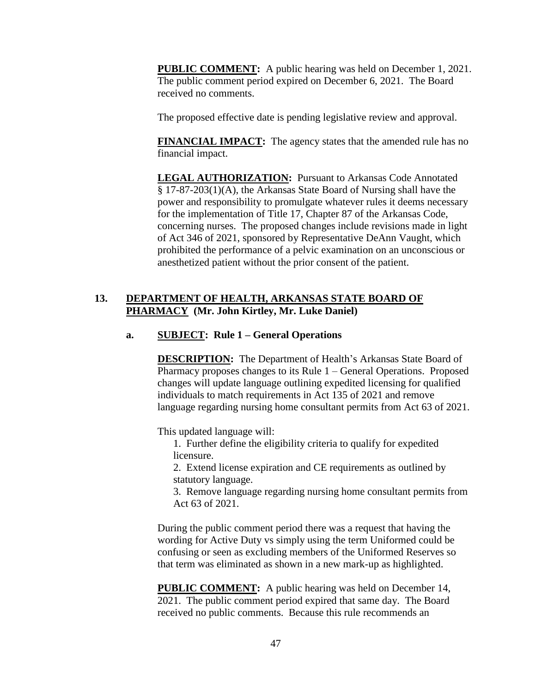**PUBLIC COMMENT:** A public hearing was held on December 1, 2021. The public comment period expired on December 6, 2021. The Board received no comments.

The proposed effective date is pending legislative review and approval.

**FINANCIAL IMPACT:** The agency states that the amended rule has no financial impact.

**LEGAL AUTHORIZATION:** Pursuant to Arkansas Code Annotated § 17-87-203(1)(A), the Arkansas State Board of Nursing shall have the power and responsibility to promulgate whatever rules it deems necessary for the implementation of Title 17, Chapter 87 of the Arkansas Code, concerning nurses. The proposed changes include revisions made in light of Act 346 of 2021, sponsored by Representative DeAnn Vaught, which prohibited the performance of a pelvic examination on an unconscious or anesthetized patient without the prior consent of the patient.

## **13. DEPARTMENT OF HEALTH, ARKANSAS STATE BOARD OF PHARMACY (Mr. John Kirtley, Mr. Luke Daniel)**

## **a. SUBJECT: Rule 1 – General Operations**

**DESCRIPTION:** The Department of Health's Arkansas State Board of Pharmacy proposes changes to its Rule 1 – General Operations. Proposed changes will update language outlining expedited licensing for qualified individuals to match requirements in Act 135 of 2021 and remove language regarding nursing home consultant permits from Act 63 of 2021.

This updated language will:

1. Further define the eligibility criteria to qualify for expedited licensure.

2. Extend license expiration and CE requirements as outlined by statutory language.

3. Remove language regarding nursing home consultant permits from Act 63 of 2021.

During the public comment period there was a request that having the wording for Active Duty vs simply using the term Uniformed could be confusing or seen as excluding members of the Uniformed Reserves so that term was eliminated as shown in a new mark-up as highlighted.

**PUBLIC COMMENT:** A public hearing was held on December 14, 2021. The public comment period expired that same day. The Board received no public comments. Because this rule recommends an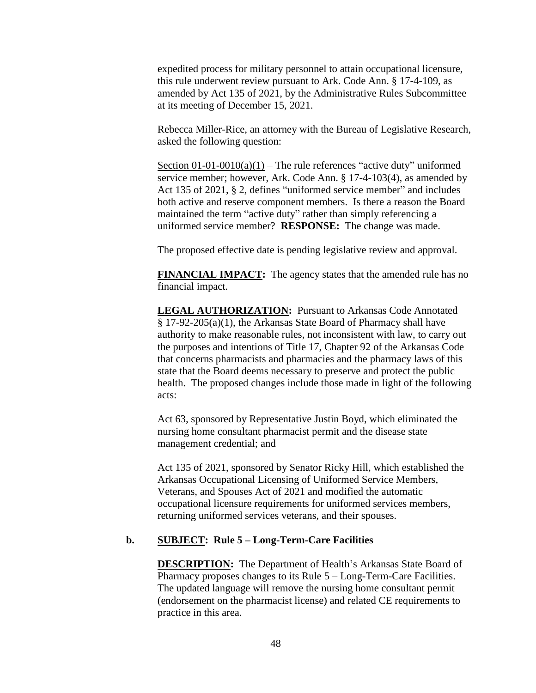expedited process for military personnel to attain occupational licensure, this rule underwent review pursuant to Ark. Code Ann. § 17-4-109, as amended by Act 135 of 2021, by the Administrative Rules Subcommittee at its meeting of December 15, 2021.

Rebecca Miller-Rice, an attorney with the Bureau of Legislative Research, asked the following question:

Section  $01-01-0010(a)(1)$  – The rule references "active duty" uniformed service member; however, Ark. Code Ann. § 17-4-103(4), as amended by Act 135 of 2021, § 2, defines "uniformed service member" and includes both active and reserve component members. Is there a reason the Board maintained the term "active duty" rather than simply referencing a uniformed service member? **RESPONSE:** The change was made.

The proposed effective date is pending legislative review and approval.

**FINANCIAL IMPACT:** The agency states that the amended rule has no financial impact.

**LEGAL AUTHORIZATION:** Pursuant to Arkansas Code Annotated § 17-92-205(a)(1), the Arkansas State Board of Pharmacy shall have authority to make reasonable rules, not inconsistent with law, to carry out the purposes and intentions of Title 17, Chapter 92 of the Arkansas Code that concerns pharmacists and pharmacies and the pharmacy laws of this state that the Board deems necessary to preserve and protect the public health. The proposed changes include those made in light of the following acts:

Act 63, sponsored by Representative Justin Boyd, which eliminated the nursing home consultant pharmacist permit and the disease state management credential; and

Act 135 of 2021, sponsored by Senator Ricky Hill, which established the Arkansas Occupational Licensing of Uniformed Service Members, Veterans, and Spouses Act of 2021 and modified the automatic occupational licensure requirements for uniformed services members, returning uniformed services veterans, and their spouses.

#### **b. SUBJECT: Rule 5 – Long-Term-Care Facilities**

**DESCRIPTION:** The Department of Health's Arkansas State Board of Pharmacy proposes changes to its Rule 5 – Long-Term-Care Facilities. The updated language will remove the nursing home consultant permit (endorsement on the pharmacist license) and related CE requirements to practice in this area.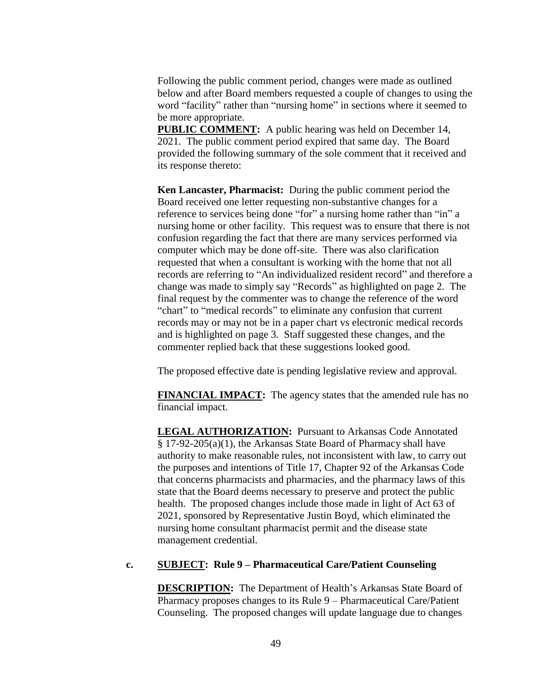Following the public comment period, changes were made as outlined below and after Board members requested a couple of changes to using the word "facility" rather than "nursing home" in sections where it seemed to be more appropriate.

**PUBLIC COMMENT:** A public hearing was held on December 14, 2021. The public comment period expired that same day. The Board provided the following summary of the sole comment that it received and its response thereto:

**Ken Lancaster, Pharmacist:** During the public comment period the Board received one letter requesting non-substantive changes for a reference to services being done "for" a nursing home rather than "in" a nursing home or other facility. This request was to ensure that there is not confusion regarding the fact that there are many services performed via computer which may be done off-site. There was also clarification requested that when a consultant is working with the home that not all records are referring to "An individualized resident record" and therefore a change was made to simply say "Records" as highlighted on page 2. The final request by the commenter was to change the reference of the word "chart" to "medical records" to eliminate any confusion that current records may or may not be in a paper chart vs electronic medical records and is highlighted on page 3. Staff suggested these changes, and the commenter replied back that these suggestions looked good.

The proposed effective date is pending legislative review and approval.

**FINANCIAL IMPACT:** The agency states that the amended rule has no financial impact.

**LEGAL AUTHORIZATION:** Pursuant to Arkansas Code Annotated § 17-92-205(a)(1), the Arkansas State Board of Pharmacy shall have authority to make reasonable rules, not inconsistent with law, to carry out the purposes and intentions of Title 17, Chapter 92 of the Arkansas Code that concerns pharmacists and pharmacies, and the pharmacy laws of this state that the Board deems necessary to preserve and protect the public health. The proposed changes include those made in light of Act 63 of 2021, sponsored by Representative Justin Boyd, which eliminated the nursing home consultant pharmacist permit and the disease state management credential.

### **c. SUBJECT: Rule 9 – Pharmaceutical Care/Patient Counseling**

**DESCRIPTION:** The Department of Health's Arkansas State Board of Pharmacy proposes changes to its Rule 9 – Pharmaceutical Care/Patient Counseling. The proposed changes will update language due to changes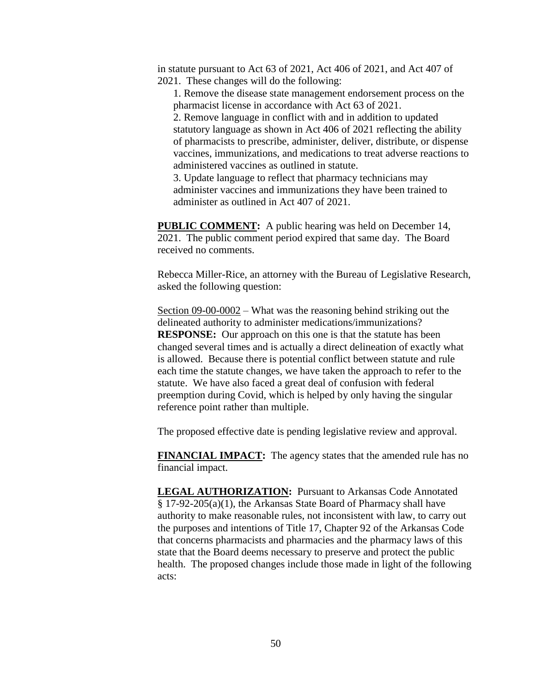in statute pursuant to Act 63 of 2021, Act 406 of 2021, and Act 407 of 2021. These changes will do the following:

1. Remove the disease state management endorsement process on the pharmacist license in accordance with Act 63 of 2021.

2. Remove language in conflict with and in addition to updated statutory language as shown in Act 406 of 2021 reflecting the ability of pharmacists to prescribe, administer, deliver, distribute, or dispense vaccines, immunizations, and medications to treat adverse reactions to administered vaccines as outlined in statute.

3. Update language to reflect that pharmacy technicians may administer vaccines and immunizations they have been trained to administer as outlined in Act 407 of 2021.

**PUBLIC COMMENT:** A public hearing was held on December 14, 2021. The public comment period expired that same day. The Board received no comments.

Rebecca Miller-Rice, an attorney with the Bureau of Legislative Research, asked the following question:

Section 09-00-0002 – What was the reasoning behind striking out the delineated authority to administer medications/immunizations? **RESPONSE:** Our approach on this one is that the statute has been changed several times and is actually a direct delineation of exactly what is allowed. Because there is potential conflict between statute and rule each time the statute changes, we have taken the approach to refer to the statute. We have also faced a great deal of confusion with federal preemption during Covid, which is helped by only having the singular reference point rather than multiple.

The proposed effective date is pending legislative review and approval.

**FINANCIAL IMPACT:** The agency states that the amended rule has no financial impact.

**LEGAL AUTHORIZATION:** Pursuant to Arkansas Code Annotated § 17-92-205(a)(1), the Arkansas State Board of Pharmacy shall have authority to make reasonable rules, not inconsistent with law, to carry out the purposes and intentions of Title 17, Chapter 92 of the Arkansas Code that concerns pharmacists and pharmacies and the pharmacy laws of this state that the Board deems necessary to preserve and protect the public health. The proposed changes include those made in light of the following acts: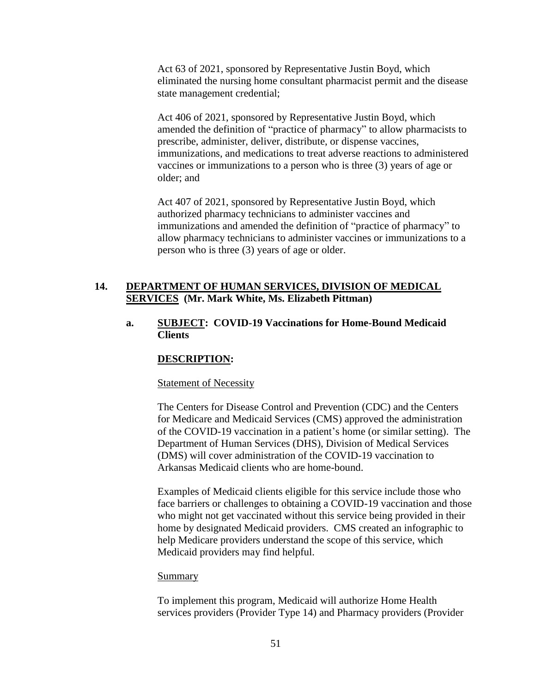Act 63 of 2021, sponsored by Representative Justin Boyd, which eliminated the nursing home consultant pharmacist permit and the disease state management credential;

Act 406 of 2021, sponsored by Representative Justin Boyd, which amended the definition of "practice of pharmacy" to allow pharmacists to prescribe, administer, deliver, distribute, or dispense vaccines, immunizations, and medications to treat adverse reactions to administered vaccines or immunizations to a person who is three (3) years of age or older; and

Act 407 of 2021, sponsored by Representative Justin Boyd, which authorized pharmacy technicians to administer vaccines and immunizations and amended the definition of "practice of pharmacy" to allow pharmacy technicians to administer vaccines or immunizations to a person who is three (3) years of age or older.

## **14. DEPARTMENT OF HUMAN SERVICES, DIVISION OF MEDICAL SERVICES (Mr. Mark White, Ms. Elizabeth Pittman)**

## **a. SUBJECT: COVID-19 Vaccinations for Home-Bound Medicaid Clients**

### **DESCRIPTION:**

#### Statement of Necessity

The Centers for Disease Control and Prevention (CDC) and the Centers for Medicare and Medicaid Services (CMS) approved the administration of the COVID-19 vaccination in a patient's home (or similar setting). The Department of Human Services (DHS), Division of Medical Services (DMS) will cover administration of the COVID-19 vaccination to Arkansas Medicaid clients who are home-bound.

Examples of Medicaid clients eligible for this service include those who face barriers or challenges to obtaining a COVID-19 vaccination and those who might not get vaccinated without this service being provided in their home by designated Medicaid providers. CMS created an infographic to help Medicare providers understand the scope of this service, which Medicaid providers may find helpful.

#### Summary

To implement this program, Medicaid will authorize Home Health services providers (Provider Type 14) and Pharmacy providers (Provider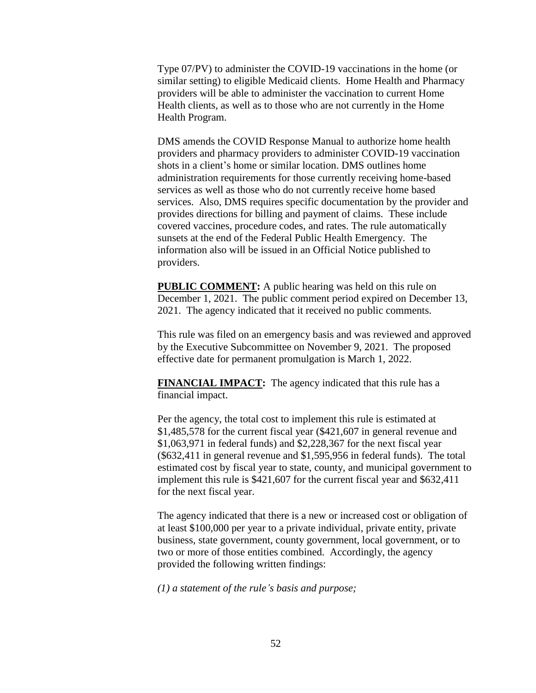Type 07/PV) to administer the COVID-19 vaccinations in the home (or similar setting) to eligible Medicaid clients. Home Health and Pharmacy providers will be able to administer the vaccination to current Home Health clients, as well as to those who are not currently in the Home Health Program.

DMS amends the COVID Response Manual to authorize home health providers and pharmacy providers to administer COVID-19 vaccination shots in a client's home or similar location. DMS outlines home administration requirements for those currently receiving home-based services as well as those who do not currently receive home based services. Also, DMS requires specific documentation by the provider and provides directions for billing and payment of claims. These include covered vaccines, procedure codes, and rates. The rule automatically sunsets at the end of the Federal Public Health Emergency. The information also will be issued in an Official Notice published to providers.

**PUBLIC COMMENT:** A public hearing was held on this rule on December 1, 2021. The public comment period expired on December 13, 2021. The agency indicated that it received no public comments.

This rule was filed on an emergency basis and was reviewed and approved by the Executive Subcommittee on November 9, 2021. The proposed effective date for permanent promulgation is March 1, 2022.

**FINANCIAL IMPACT:** The agency indicated that this rule has a financial impact.

Per the agency, the total cost to implement this rule is estimated at \$1,485,578 for the current fiscal year (\$421,607 in general revenue and \$1,063,971 in federal funds) and \$2,228,367 for the next fiscal year (\$632,411 in general revenue and \$1,595,956 in federal funds). The total estimated cost by fiscal year to state, county, and municipal government to implement this rule is \$421,607 for the current fiscal year and \$632,411 for the next fiscal year.

The agency indicated that there is a new or increased cost or obligation of at least \$100,000 per year to a private individual, private entity, private business, state government, county government, local government, or to two or more of those entities combined. Accordingly, the agency provided the following written findings:

*(1) a statement of the rule's basis and purpose;*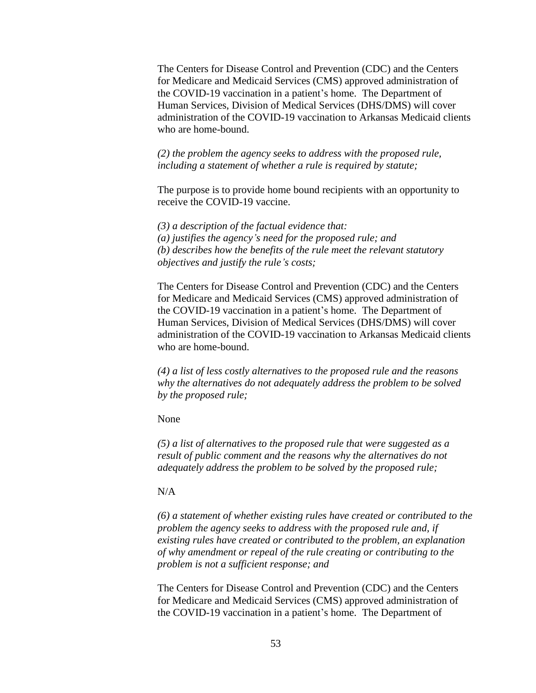The Centers for Disease Control and Prevention (CDC) and the Centers for Medicare and Medicaid Services (CMS) approved administration of the COVID-19 vaccination in a patient's home. The Department of Human Services, Division of Medical Services (DHS/DMS) will cover administration of the COVID-19 vaccination to Arkansas Medicaid clients who are home-bound.

*(2) the problem the agency seeks to address with the proposed rule, including a statement of whether a rule is required by statute;*

The purpose is to provide home bound recipients with an opportunity to receive the COVID-19 vaccine.

*(3) a description of the factual evidence that: (a) justifies the agency's need for the proposed rule; and (b) describes how the benefits of the rule meet the relevant statutory objectives and justify the rule's costs;*

The Centers for Disease Control and Prevention (CDC) and the Centers for Medicare and Medicaid Services (CMS) approved administration of the COVID-19 vaccination in a patient's home. The Department of Human Services, Division of Medical Services (DHS/DMS) will cover administration of the COVID-19 vaccination to Arkansas Medicaid clients who are home-bound.

*(4) a list of less costly alternatives to the proposed rule and the reasons why the alternatives do not adequately address the problem to be solved by the proposed rule;* 

None

*(5) a list of alternatives to the proposed rule that were suggested as a result of public comment and the reasons why the alternatives do not adequately address the problem to be solved by the proposed rule;* 

### N/A

*(6) a statement of whether existing rules have created or contributed to the problem the agency seeks to address with the proposed rule and, if existing rules have created or contributed to the problem, an explanation of why amendment or repeal of the rule creating or contributing to the problem is not a sufficient response; and*

The Centers for Disease Control and Prevention (CDC) and the Centers for Medicare and Medicaid Services (CMS) approved administration of the COVID-19 vaccination in a patient's home. The Department of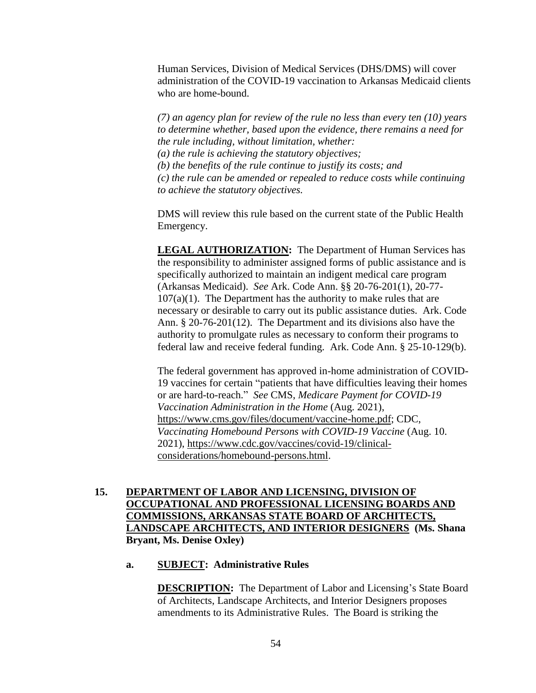Human Services, Division of Medical Services (DHS/DMS) will cover administration of the COVID-19 vaccination to Arkansas Medicaid clients who are home-bound.

*(7) an agency plan for review of the rule no less than every ten (10) years to determine whether, based upon the evidence, there remains a need for the rule including, without limitation, whether: (a) the rule is achieving the statutory objectives; (b) the benefits of the rule continue to justify its costs; and (c) the rule can be amended or repealed to reduce costs while continuing to achieve the statutory objectives.*

DMS will review this rule based on the current state of the Public Health Emergency.

**LEGAL AUTHORIZATION:** The Department of Human Services has the responsibility to administer assigned forms of public assistance and is specifically authorized to maintain an indigent medical care program (Arkansas Medicaid). *See* Ark. Code Ann. §§ 20-76-201(1), 20-77-  $107(a)(1)$ . The Department has the authority to make rules that are necessary or desirable to carry out its public assistance duties. Ark. Code Ann. § 20-76-201(12). The Department and its divisions also have the authority to promulgate rules as necessary to conform their programs to federal law and receive federal funding. Ark. Code Ann. § 25-10-129(b).

The federal government has approved in-home administration of COVID-19 vaccines for certain "patients that have difficulties leaving their homes or are hard-to-reach." *See* CMS, *Medicare Payment for COVID-19 Vaccination Administration in the Home* (Aug. 2021), [https://www.cms.gov/files/document/vaccine-home.pdf;](https://www.cms.gov/files/document/vaccine-home.pdf) CDC, *Vaccinating Homebound Persons with COVID-19 Vaccine* (Aug. 10. 2021), [https://www.cdc.gov/vaccines/covid-19/clinical](https://www.cdc.gov/vaccines/covid-19/clinical-considerations/homebound-persons.html)[considerations/homebound-persons.html.](https://www.cdc.gov/vaccines/covid-19/clinical-considerations/homebound-persons.html)

## **15. DEPARTMENT OF LABOR AND LICENSING, DIVISION OF OCCUPATIONAL AND PROFESSIONAL LICENSING BOARDS AND COMMISSIONS, ARKANSAS STATE BOARD OF ARCHITECTS, LANDSCAPE ARCHITECTS, AND INTERIOR DESIGNERS (Ms. Shana Bryant, Ms. Denise Oxley)**

#### **a. SUBJECT: Administrative Rules**

**DESCRIPTION:** The Department of Labor and Licensing's State Board of Architects, Landscape Architects, and Interior Designers proposes amendments to its Administrative Rules. The Board is striking the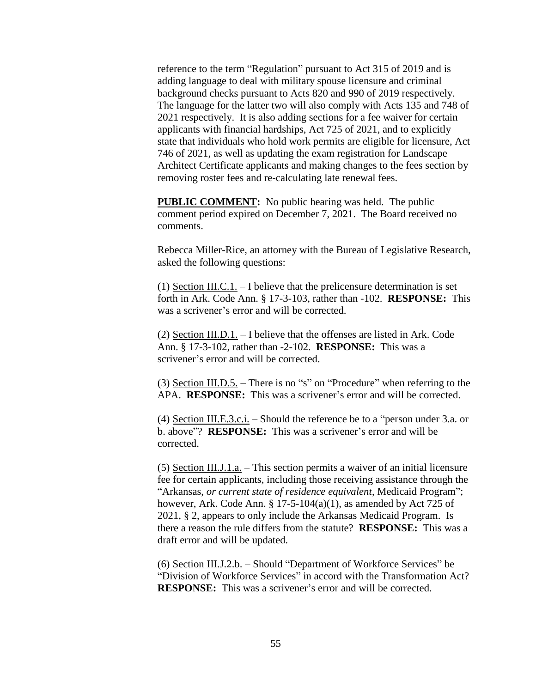reference to the term "Regulation" pursuant to Act 315 of 2019 and is adding language to deal with military spouse licensure and criminal background checks pursuant to Acts 820 and 990 of 2019 respectively. The language for the latter two will also comply with Acts 135 and 748 of 2021 respectively. It is also adding sections for a fee waiver for certain applicants with financial hardships, Act 725 of 2021, and to explicitly state that individuals who hold work permits are eligible for licensure, Act 746 of 2021, as well as updating the exam registration for Landscape Architect Certificate applicants and making changes to the fees section by removing roster fees and re-calculating late renewal fees.

**PUBLIC COMMENT:** No public hearing was held. The public comment period expired on December 7, 2021. The Board received no comments.

Rebecca Miller-Rice, an attorney with the Bureau of Legislative Research, asked the following questions:

(1) Section III.C.1. – I believe that the prelicensure determination is set forth in Ark. Code Ann. § 17-3-103, rather than -102. **RESPONSE:** This was a scrivener's error and will be corrected.

(2) Section III.D.1. – I believe that the offenses are listed in Ark. Code Ann. § 17-3-102, rather than -2-102. **RESPONSE:** This was a scrivener's error and will be corrected.

(3) Section III.D.5. – There is no "s" on "Procedure" when referring to the APA. **RESPONSE:** This was a scrivener's error and will be corrected.

(4) Section III.E.3.c.i. – Should the reference be to a "person under 3.a. or b. above"? **RESPONSE:** This was a scrivener's error and will be corrected.

(5) Section III.J.1.a. – This section permits a waiver of an initial licensure fee for certain applicants, including those receiving assistance through the "Arkansas, *or current state of residence equivalent*, Medicaid Program"; however, Ark. Code Ann.  $\S 17-5-104(a)(1)$ , as amended by Act 725 of 2021, § 2, appears to only include the Arkansas Medicaid Program. Is there a reason the rule differs from the statute? **RESPONSE:** This was a draft error and will be updated.

(6) Section III.J.2.b. – Should "Department of Workforce Services" be "Division of Workforce Services" in accord with the Transformation Act? **RESPONSE:** This was a scrivener's error and will be corrected.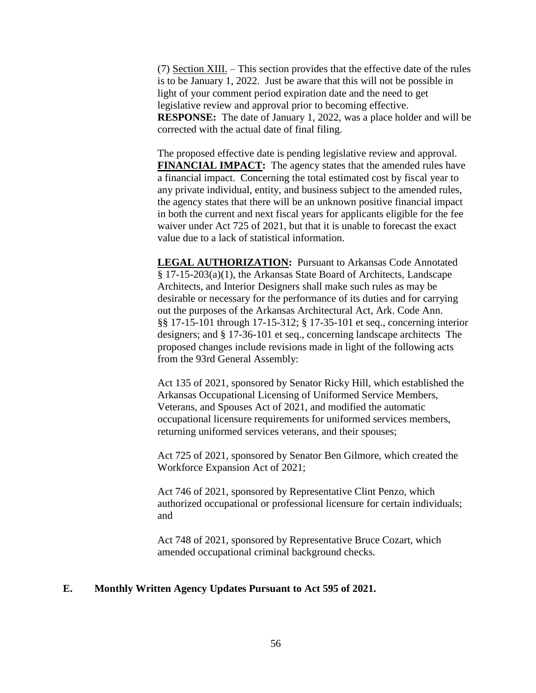(7) Section XIII. – This section provides that the effective date of the rules is to be January 1, 2022. Just be aware that this will not be possible in light of your comment period expiration date and the need to get legislative review and approval prior to becoming effective. **RESPONSE:** The date of January 1, 2022, was a place holder and will be corrected with the actual date of final filing.

The proposed effective date is pending legislative review and approval. **FINANCIAL IMPACT:** The agency states that the amended rules have a financial impact. Concerning the total estimated cost by fiscal year to any private individual, entity, and business subject to the amended rules, the agency states that there will be an unknown positive financial impact in both the current and next fiscal years for applicants eligible for the fee waiver under Act 725 of 2021, but that it is unable to forecast the exact value due to a lack of statistical information.

**LEGAL AUTHORIZATION:** Pursuant to Arkansas Code Annotated § 17-15-203(a)(1), the Arkansas State Board of Architects, Landscape Architects, and Interior Designers shall make such rules as may be desirable or necessary for the performance of its duties and for carrying out the purposes of the Arkansas Architectural Act, Ark. Code Ann. §§ 17-15-101 through 17-15-312; § 17-35-101 et seq., concerning interior designers; and § 17-36-101 et seq., concerning landscape architects The proposed changes include revisions made in light of the following acts from the 93rd General Assembly:

Act 135 of 2021, sponsored by Senator Ricky Hill, which established the Arkansas Occupational Licensing of Uniformed Service Members, Veterans, and Spouses Act of 2021, and modified the automatic occupational licensure requirements for uniformed services members, returning uniformed services veterans, and their spouses;

Act 725 of 2021, sponsored by Senator Ben Gilmore, which created the Workforce Expansion Act of 2021;

Act 746 of 2021, sponsored by Representative Clint Penzo, which authorized occupational or professional licensure for certain individuals; and

Act 748 of 2021, sponsored by Representative Bruce Cozart, which amended occupational criminal background checks.

### **E. Monthly Written Agency Updates Pursuant to Act 595 of 2021.**